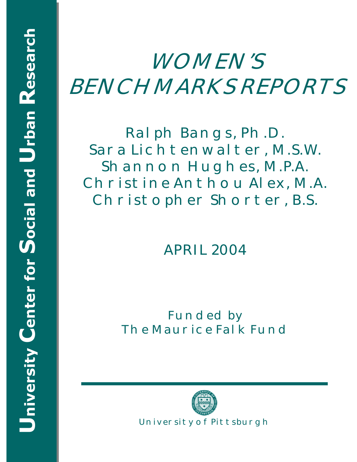# **WOMEN'S BENCHMARKS REPORTS**

**Ralph Bangs, Ph.D. Sara Lichtenwalter, M.S.W. Shannon Hughes, M.P.A. Christine Anthou Alex, M.A. Christopher Shorter, B.S.** 

**APRIL 2004** 

**Funded by The Maurice Falk Fund** 

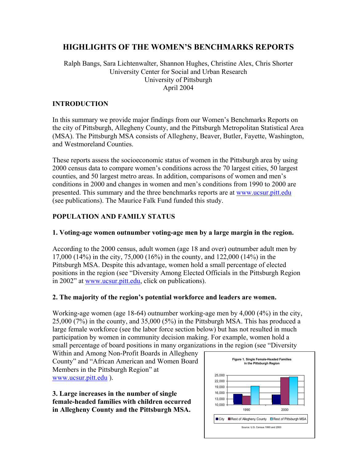## **HIGHLIGHTS OF THE WOMEN'S BENCHMARKS REPORTS**

#### Ralph Bangs, Sara Lichtenwalter, Shannon Hughes, Christine Alex, Chris Shorter University Center for Social and Urban Research University of Pittsburgh April 2004

#### **INTRODUCTION**

In this summary we provide major findings from our Women's Benchmarks Reports on the city of Pittsburgh, Allegheny County, and the Pittsburgh Metropolitan Statistical Area (MSA). The Pittsburgh MSA consists of Allegheny, Beaver, Butler, Fayette, Washington, and Westmoreland Counties.

These reports assess the socioeconomic status of women in the Pittsburgh area by using 2000 census data to compare women's conditions across the 70 largest cities, 50 largest counties, and 50 largest metro areas. In addition, comparisons of women and men's conditions in 2000 and changes in women and men's conditions from 1990 to 2000 are presented. This summary and the three benchmarks reports are at www.ucsur.pitt.edu (see publications). The Maurice Falk Fund funded this study.

## **POPULATION AND FAMILY STATUS**

#### **1. Voting-age women outnumber voting-age men by a large margin in the region.**

According to the 2000 census, adult women (age 18 and over) outnumber adult men by 17,000 (14%) in the city, 75,000 (16%) in the county, and 122,000 (14%) in the Pittsburgh MSA. Despite this advantage, women hold a small percentage of elected positions in the region (see "Diversity Among Elected Officials in the Pittsburgh Region in 2002" at www.ucsur.pitt.edu, click on publications).

#### **2. The majority of the region's potential workforce and leaders are women.**

Working-age women (age 18-64) outnumber working-age men by 4,000 (4%) in the city, 25,000 (7%) in the county, and 35,000 (5%) in the Pittsburgh MSA. This has produced a large female workforce (see the labor force section below) but has not resulted in much participation by women in community decision making. For example, women hold a small percentage of board positions in many organizations in the region (see "Diversity

Within and Among Non-Profit Boards in Allegheny County" and "African American and Women Board Members in the Pittsburgh Region" at www.ucsur.pitt.edu ).

**3. Large increases in the number of single female-headed families with children occurred in Allegheny County and the Pittsburgh MSA.** 

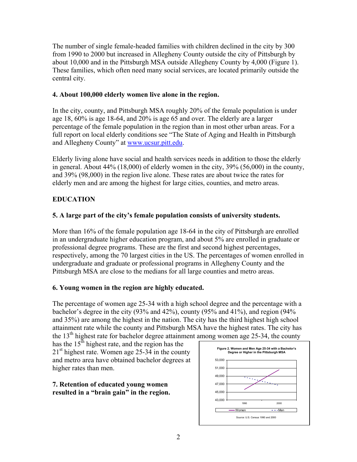The number of single female-headed families with children declined in the city by 300 from 1990 to 2000 but increased in Allegheny County outside the city of Pittsburgh by about 10,000 and in the Pittsburgh MSA outside Allegheny County by 4,000 (Figure 1). These families, which often need many social services, are located primarily outside the central city.

## **4. About 100,000 elderly women live alone in the region.**

In the city, county, and Pittsburgh MSA roughly 20% of the female population is under age 18, 60% is age 18-64, and 20% is age 65 and over. The elderly are a larger percentage of the female population in the region than in most other urban areas. For a full report on local elderly conditions see "The State of Aging and Health in Pittsburgh and Allegheny County" at www.ucsur.pitt.edu.

Elderly living alone have social and health services needs in addition to those the elderly in general. About 44% (18,000) of elderly women in the city, 39% (56,000) in the county, and 39% (98,000) in the region live alone. These rates are about twice the rates for elderly men and are among the highest for large cities, counties, and metro areas.

## **EDUCATION**

## **5. A large part of the city's female population consists of university students.**

More than 16% of the female population age 18-64 in the city of Pittsburgh are enrolled in an undergraduate higher education program, and about 5% are enrolled in graduate or professional degree programs. These are the first and second highest percentages, respectively, among the 70 largest cities in the US. The percentages of women enrolled in undergraduate and graduate or professional programs in Allegheny County and the Pittsburgh MSA are close to the medians for all large counties and metro areas.

## **6. Young women in the region are highly educated.**

The percentage of women age 25-34 with a high school degree and the percentage with a bachelor's degree in the city (93% and 42%), county (95% and 41%), and region (94% and 35%) are among the highest in the nation. The city has the third highest high school attainment rate while the county and Pittsburgh MSA have the highest rates. The city has the  $13<sup>th</sup>$  highest rate for bachelor degree attainment among women age 25-34, the county

has the  $15<sup>th</sup>$  highest rate, and the region has the  $21<sup>st</sup>$  highest rate. Women age 25-34 in the county and metro area have obtained bachelor degrees at higher rates than men.

**7. Retention of educated young women resulted in a "brain gain" in the region.** 

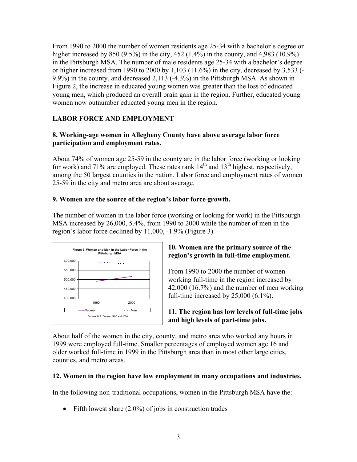From 1990 to 2000 the number of women residents age 25-34 with a bachelor's degree or higher increased by 850 (9.5%) in the city, 452 (1.4%) in the county, and 4,983 (10.9%) in the Pittsburgh MSA. The number of male residents age 25-34 with a bachelor's degree or higher increased from 1990 to 2000 by 1,103 (11.6%) in the city, decreased by 3,533 (- 9.9%) in the county, and decreased 2,113 (-4.3%) in the Pittsburgh MSA. As shown in Figure 2, the increase in educated young women was greater than the loss of educated young men, which produced an overall brain gain in the region. Further, educated young women now outnumber educated young men in the region.

## **LABOR FORCE AND EMPLOYMENT**

## **8. Working-age women in Allegheny County have above average labor force participation and employment rates.**

About 74% of women age 25-59 in the county are in the labor force (working or looking for work) and 71% are employed. These rates rank  $14<sup>th</sup>$  and  $13<sup>th</sup>$  highest, respectively, among the 50 largest counties in the nation. Labor force and employment rates of women 25-59 in the city and metro area are about average.

## **9. Women are the source of the region's labor force growth.**

The number of women in the labor force (working or looking for work) in the Pittsburgh MSA increased by 26,000, 5.4%, from 1990 to 2000 while the number of men in the region's labor force declined by 11,000, -1.9% (Figure 3).



#### **10. Women are the primary source of the region's growth in full-time employment.**

From 1990 to 2000 the number of women working full-time in the region increased by 42,000 (16.7%) and the number of men working full-time increased by 25,000 (6.1%).

#### **11. The region has low levels of full-time jobs and high levels of part-time jobs.**

About half of the women in the city, county, and metro area who worked any hours in 1999 were employed full-time. Smaller percentages of employed women age 16 and older worked full-time in 1999 in the Pittsburgh area than in most other large cities, counties, and metro areas.

#### **12. Women in the region have low employment in many occupations and industries.**

In the following non-traditional occupations, women in the Pittsburgh MSA have the:

• Fifth lowest share  $(2.0\%)$  of jobs in construction trades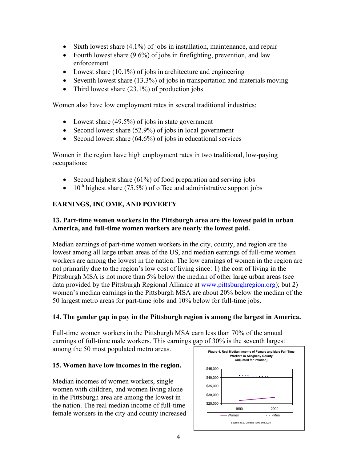- Sixth lowest share (4.1%) of jobs in installation, maintenance, and repair
- Fourth lowest share  $(9.6\%)$  of jobs in firefighting, prevention, and law enforcement
- Lowest share  $(10.1\%)$  of jobs in architecture and engineering
- Seventh lowest share (13.3%) of jobs in transportation and materials moving
- Third lowest share  $(23.1\%)$  of production jobs

Women also have low employment rates in several traditional industries:

- Lowest share (49.5%) of jobs in state government
- Second lowest share (52.9%) of jobs in local government
- Second lowest share  $(64.6\%)$  of jobs in educational services

Women in the region have high employment rates in two traditional, low-paying occupations:

- Second highest share (61%) of food preparation and serving jobs
- $10^{th}$  highest share (75.5%) of office and administrative support jobs

## **EARNINGS, INCOME, AND POVERTY**

#### **13. Part-time women workers in the Pittsburgh area are the lowest paid in urban America, and full-time women workers are nearly the lowest paid.**

Median earnings of part-time women workers in the city, county, and region are the lowest among all large urban areas of the US, and median earnings of full-time women workers are among the lowest in the nation. The low earnings of women in the region are not primarily due to the region's low cost of living since: 1) the cost of living in the Pittsburgh MSA is not more than 5% below the median of other large urban areas (see data provided by the Pittsburgh Regional Alliance at www.pittsburghregion.org); but 2) women's median earnings in the Pittsburgh MSA are about 20% below the median of the 50 largest metro areas for part-time jobs and 10% below for full-time jobs.

## **14. The gender gap in pay in the Pittsburgh region is among the largest in America.**

Full-time women workers in the Pittsburgh MSA earn less than 70% of the annual earnings of full-time male workers. This earnings gap of 30% is the seventh largest among the 50 most populated metro areas.

#### **15. Women have low incomes in the region.**

Median incomes of women workers, single women with children, and women living alone in the Pittsburgh area are among the lowest in the nation. The real median income of full-time female workers in the city and county increased

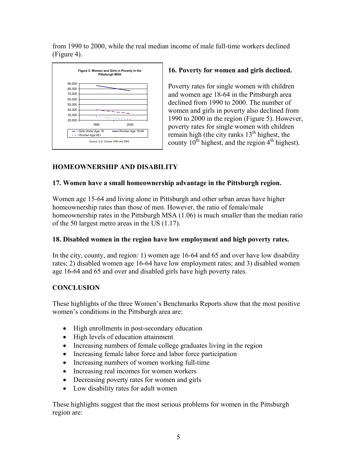from 1990 to 2000, while the real median income of male full-time workers declined (Figure 4).



## **16. Poverty for women and girls declined.**

Poverty rates for single women with children and women age 18-64 in the Pittsburgh area declined from 1990 to 2000. The number of women and girls in poverty also declined from 1990 to 2000 in the region (Figure 5). However, poverty rates for single women with children remain high (the city ranks  $13<sup>th</sup>$  highest, the county  $10^{th}$  highest, and the region  $4^{th}$  highest).

## **HOMEOWNERSHIP AND DISABILITY**

## **17. Women have a small homeownership advantage in the Pittsburgh region.**

Women age 15-64 and living alone in Pittsburgh and other urban areas have higher homeownership rates than those of men. However, the ratio of female/male homeownership rates in the Pittsburgh MSA (1.06) is much smaller than the median ratio of the 50 largest metro areas in the US (1.17).

#### **18. Disabled women in the region have low employment and high poverty rates.**

In the city, county, and region: 1) women age 16-64 and 65 and over have low disability rates; 2) disabled women age 16-64 have low employment rates; and 3) disabled women age 16-64 and 65 and over and disabled girls have high poverty rates.

## **CONCLUSION**

These highlights of the three Women's Benchmarks Reports show that the most positive women's conditions in the Pittsburgh area are:

- High enrollments in post-secondary education
- High levels of education attainment
- Increasing numbers of female college graduates living in the region
- Increasing female labor force and labor force participation
- Increasing numbers of women working full-time
- Increasing real incomes for women workers
- Decreasing poverty rates for women and girls
- Low disability rates for adult women

These highlights suggest that the most serious problems for women in the Pittsburgh region are: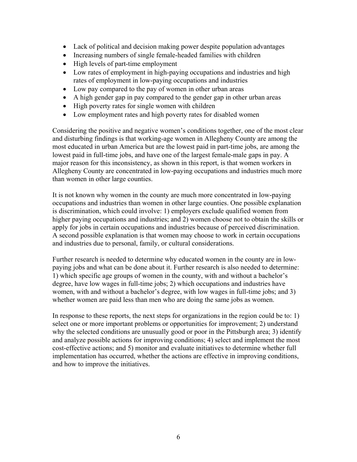- Lack of political and decision making power despite population advantages
- Increasing numbers of single female-headed families with children
- High levels of part-time employment
- Low rates of employment in high-paying occupations and industries and high rates of employment in low-paying occupations and industries
- Low pay compared to the pay of women in other urban areas
- A high gender gap in pay compared to the gender gap in other urban areas
- High poverty rates for single women with children
- Low employment rates and high poverty rates for disabled women

Considering the positive and negative women's conditions together, one of the most clear and disturbing findings is that working-age women in Allegheny County are among the most educated in urban America but are the lowest paid in part-time jobs, are among the lowest paid in full-time jobs, and have one of the largest female-male gaps in pay. A major reason for this inconsistency, as shown in this report, is that women workers in Allegheny County are concentrated in low-paying occupations and industries much more than women in other large counties.

It is not known why women in the county are much more concentrated in low-paying occupations and industries than women in other large counties. One possible explanation is discrimination, which could involve: 1) employers exclude qualified women from higher paying occupations and industries; and 2) women choose not to obtain the skills or apply for jobs in certain occupations and industries because of perceived discrimination. A second possible explanation is that women may choose to work in certain occupations and industries due to personal, family, or cultural considerations.

Further research is needed to determine why educated women in the county are in lowpaying jobs and what can be done about it. Further research is also needed to determine: 1) which specific age groups of women in the county, with and without a bachelor's degree, have low wages in full-time jobs; 2) which occupations and industries have women, with and without a bachelor's degree, with low wages in full-time jobs; and 3) whether women are paid less than men who are doing the same jobs as women.

In response to these reports, the next steps for organizations in the region could be to: 1) select one or more important problems or opportunities for improvement; 2) understand why the selected conditions are unusually good or poor in the Pittsburgh area; 3) identify and analyze possible actions for improving conditions; 4) select and implement the most cost-effective actions; and 5) monitor and evaluate initiatives to determine whether full implementation has occurred, whether the actions are effective in improving conditions, and how to improve the initiatives.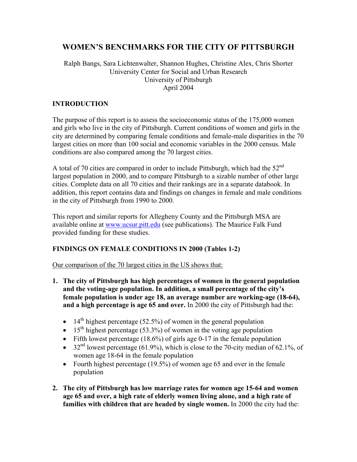# **WOMEN'S BENCHMARKS FOR THE CITY OF PITTSBURGH**

#### Ralph Bangs, Sara Lichtenwalter, Shannon Hughes, Christine Alex, Chris Shorter University Center for Social and Urban Research University of Pittsburgh April 2004

#### **INTRODUCTION**

The purpose of this report is to assess the socioeconomic status of the 175,000 women and girls who live in the city of Pittsburgh. Current conditions of women and girls in the city are determined by comparing female conditions and female-male disparities in the 70 largest cities on more than 100 social and economic variables in the 2000 census. Male conditions are also compared among the 70 largest cities.

A total of 70 cities are compared in order to include Pittsburgh, which had the 52nd largest population in 2000, and to compare Pittsburgh to a sizable number of other large cities. Complete data on all 70 cities and their rankings are in a separate databook. In addition, this report contains data and findings on changes in female and male conditions in the city of Pittsburgh from 1990 to 2000.

This report and similar reports for Allegheny County and the Pittsburgh MSA are available online at www.ucsur.pitt.edu (see publications). The Maurice Falk Fund provided funding for these studies.

## **FINDINGS ON FEMALE CONDITIONS IN 2000 (Tables 1-2)**

Our comparison of the 70 largest cities in the US shows that:

- **1. The city of Pittsburgh has high percentages of women in the general population and the voting-age population. In addition, a small percentage of the city's female population is under age 18, an average number are working-age (18-64), and a high percentage is age 65 and over.** In 2000 the city of Pittsburgh had the:
	- 14<sup>th</sup> highest percentage (52.5%) of women in the general population
	- 15<sup>th</sup> highest percentage (53.3%) of women in the voting age population
	- Fifth lowest percentage (18.6%) of girls age 0-17 in the female population
	- 32<sup>nd</sup> lowest percentage (61.9%), which is close to the 70-city median of 62.1%, of women age 18-64 in the female population
	- Fourth highest percentage (19.5%) of women age 65 and over in the female population
- **2. The city of Pittsburgh has low marriage rates for women age 15-64 and women age 65 and over, a high rate of elderly women living alone, and a high rate of families with children that are headed by single women.** In 2000 the city had the: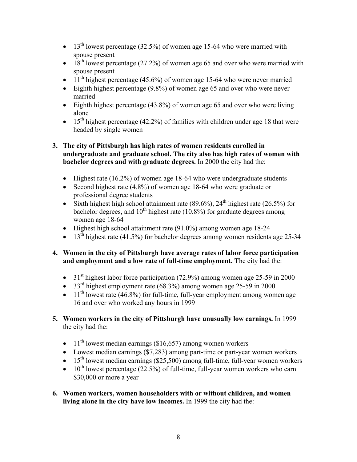- 13<sup>th</sup> lowest percentage (32.5%) of women age 15-64 who were married with spouse present
- 18<sup>th</sup> lowest percentage (27.2%) of women age 65 and over who were married with spouse present
- $11<sup>th</sup>$  highest percentage (45.6%) of women age 15-64 who were never married
- Eighth highest percentage (9.8%) of women age 65 and over who were never married
- Eighth highest percentage  $(43.8\%)$  of women age 65 and over who were living alone
- 15<sup>th</sup> highest percentage (42.2%) of families with children under age 18 that were headed by single women

## **3. The city of Pittsburgh has high rates of women residents enrolled in undergraduate and graduate school. The city also has high rates of women with bachelor degrees and with graduate degrees.** In 2000 the city had the:

- Highest rate (16.2%) of women age 18-64 who were undergraduate students
- Second highest rate (4.8%) of women age 18-64 who were graduate or professional degree students
- Sixth highest high school attainment rate  $(89.6\%)$ ,  $24<sup>th</sup>$  highest rate  $(26.5\%)$  for bachelor degrees, and  $10^{th}$  highest rate (10.8%) for graduate degrees among women age 18-64
- Highest high school attainment rate (91.0%) among women age 18-24
- 13<sup>th</sup> highest rate (41.5%) for bachelor degrees among women residents age 25-34

## **4. Women in the city of Pittsburgh have average rates of labor force participation and employment and a low rate of full-time employment. T**he city had the:

- 31<sup>st</sup> highest labor force participation (72.9%) among women age 25-59 in 2000
- $33<sup>rd</sup>$  highest employment rate (68.3%) among women age 25-59 in 2000
- $\bullet$  11<sup>th</sup> lowest rate (46.8%) for full-time, full-year employment among women age 16 and over who worked any hours in 1999
- **5. Women workers in the city of Pittsburgh have unusually low earnings.** In 1999 the city had the:
	- $11<sup>th</sup>$  lowest median earnings (\$16,657) among women workers
	- Lowest median earnings (\$7,283) among part-time or part-year women workers
	- $\bullet$  15<sup>th</sup> lowest median earnings (\$25,500) among full-time, full-year women workers
	- $10^{th}$  lowest percentage (22.5%) of full-time, full-year women workers who earn \$30,000 or more a year
- **6. Women workers, women householders with or without children, and women living alone in the city have low incomes.** In 1999 the city had the: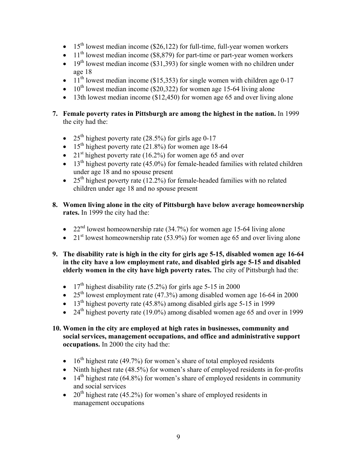- 15<sup>th</sup> lowest median income (\$26,122) for full-time, full-year women workers
- $11<sup>th</sup>$  lowest median income (\$8,879) for part-time or part-year women workers
- 19<sup>th</sup> lowest median income (\$31,393) for single women with no children under age 18
- $11<sup>th</sup>$  lowest median income (\$15,353) for single women with children age 0-17
- $10^{th}$  lowest median income (\$20,322) for women age 15-64 living alone
- 13th lowest median income  $(12,450)$  for women age 65 and over living alone
- **7. Female poverty rates in Pittsburgh are among the highest in the nation.** In 1999 the city had the:
	- 25<sup>th</sup> highest poverty rate (28.5%) for girls age 0-17
	- 15<sup>th</sup> highest poverty rate  $(21.8\%)$  for women age 18-64
	- 21<sup>st</sup> highest poverty rate  $(16.2\%)$  for women age 65 and over
	- $\bullet$  13<sup>th</sup> highest poverty rate (45.0%) for female-headed families with related children under age 18 and no spouse present
	- 25<sup>th</sup> highest poverty rate  $(12.2%)$  for female-headed families with no related children under age 18 and no spouse present
- **8. Women living alone in the city of Pittsburgh have below average homeownership rates.** In 1999 the city had the:
	- 22<sup>nd</sup> lowest homeownership rate (34.7%) for women age 15-64 living alone
	- 21<sup>st</sup> lowest homeownership rate (53.9%) for women age 65 and over living alone
- **9. The disability rate is high in the city for girls age 5-15, disabled women age 16-64 in the city have a low employment rate, and disabled girls age 5-15 and disabled elderly women in the city have high poverty rates.** The city of Pittsburgh had the:
	- 17<sup>th</sup> highest disability rate (5.2%) for girls age 5-15 in 2000
	- 25<sup>th</sup> lowest employment rate (47.3%) among disabled women age 16-64 in 2000
	- 13<sup>th</sup> highest poverty rate (45.8%) among disabled girls age 5-15 in 1999
	- 24<sup>th</sup> highest poverty rate (19.0%) among disabled women age 65 and over in 1999
- **10. Women in the city are employed at high rates in businesses, community and social services, management occupations, and office and administrative support occupations.** In 2000 the city had the:
	- 16<sup>th</sup> highest rate (49.7%) for women's share of total employed residents
	- Ninth highest rate (48.5%) for women's share of employed residents in for-profits
	- 14<sup>th</sup> highest rate (64.8%) for women's share of employed residents in community and social services
	- 20<sup>th</sup> highest rate (45.2%) for women's share of employed residents in management occupations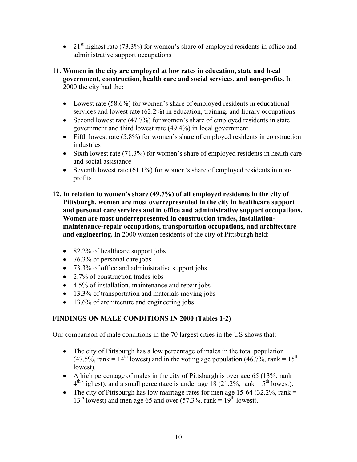• 21<sup>st</sup> highest rate (73.3%) for women's share of employed residents in office and administrative support occupations

#### **11. Women in the city are employed at low rates in education, state and local government, construction, health care and social services, and non-profits.** In 2000 the city had the:

- Lowest rate (58.6%) for women's share of employed residents in educational services and lowest rate (62.2%) in education, training, and library occupations
- Second lowest rate (47.7%) for women's share of employed residents in state government and third lowest rate (49.4%) in local government
- Fifth lowest rate (5.8%) for women's share of employed residents in construction industries
- Sixth lowest rate (71.3%) for women's share of employed residents in health care and social assistance
- Seventh lowest rate (61.1%) for women's share of employed residents in nonprofits
- **12. In relation to women's share (49.7%) of all employed residents in the city of Pittsburgh, women are most overrepresented in the city in healthcare support and personal care services and in office and administrative support occupations. Women are most underrepresented in construction trades, installationmaintenance-repair occupations, transportation occupations, and architecture and engineering.** In 2000 women residents of the city of Pittsburgh held:
	- 82.2% of healthcare support jobs
	- 76.3% of personal care jobs
	- 73.3% of office and administrative support jobs
	- 2.7% of construction trades jobs
	- 4.5% of installation, maintenance and repair jobs
	- 13.3% of transportation and materials moving jobs
	- 13.6% of architecture and engineering jobs

## **FINDINGS ON MALE CONDITIONS IN 2000 (Tables 1-2)**

Our comparison of male conditions in the 70 largest cities in the US shows that:

- The city of Pittsburgh has a low percentage of males in the total population  $(47.5\%$ , rank = 14<sup>th</sup> lowest) and in the voting age population  $(46.7\%$ , rank = 15<sup>th</sup> lowest).
- A high percentage of males in the city of Pittsburgh is over age 65 (13%, rank  $=$  $4<sup>th</sup>$  highest), and a small percentage is under age 18 (21.2%, rank =  $5<sup>th</sup>$  lowest).
- The city of Pittsburgh has low marriage rates for men age 15-64 (32.2%, rank  $=$  $13<sup>th</sup>$  lowest) and men age 65 and over (57.3%, rank =  $19<sup>th</sup>$  lowest).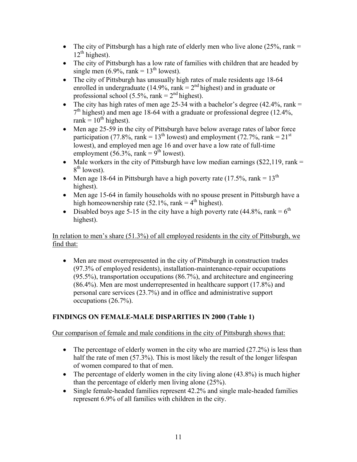- The city of Pittsburgh has a high rate of elderly men who live alone  $(25\%$ , rank =  $12<sup>th</sup>$  highest).
- The city of Pittsburgh has a low rate of families with children that are headed by single men  $(6.9\%$ , rank =  $13<sup>th</sup>$  lowest).
- The city of Pittsburgh has unusually high rates of male residents age 18-64 enrolled in undergraduate (14.9%, rank =  $2<sup>nd</sup>$  highest) and in graduate or professional school (5.5%, rank =  $2<sup>nd</sup>$  highest).
- The city has high rates of men age 25-34 with a bachelor's degree  $(42.4\%$ , rank =  $7<sup>th</sup>$  highest) and men age 18-64 with a graduate or professional degree (12.4%, rank =  $10^{th}$  highest).
- Men age 25-59 in the city of Pittsburgh have below average rates of labor force participation (77.8%, rank =  $13<sup>th</sup>$  lowest) and employment (72.7%, rank =  $21<sup>st</sup>$ ) lowest), and employed men age 16 and over have a low rate of full-time employment (56.3%, rank =  $9^{th}$  lowest).
- Male workers in the city of Pittsburgh have low median earnings  $(\$22,119, \text{rank} =$  $8<sup>th</sup>$  lowest).
- Men age 18-64 in Pittsburgh have a high poverty rate (17.5%, rank =  $13<sup>th</sup>$ ) highest).
- Men age 15-64 in family households with no spouse present in Pittsburgh have a high homeownership rate (52.1%, rank  $=$  4<sup>th</sup> highest).
- Disabled boys age 5-15 in the city have a high poverty rate (44.8%, rank =  $6<sup>th</sup>$ highest).

## In relation to men's share (51.3%) of all employed residents in the city of Pittsburgh, we find that:

• Men are most overrepresented in the city of Pittsburgh in construction trades (97.3% of employed residents), installation-maintenance-repair occupations (95.5%), transportation occupations (86.7%), and architecture and engineering (86.4%). Men are most underrepresented in healthcare support (17.8%) and personal care services (23.7%) and in office and administrative support occupations (26.7%).

# **FINDINGS ON FEMALE-MALE DISPARITIES IN 2000 (Table 1)**

## Our comparison of female and male conditions in the city of Pittsburgh shows that:

- The percentage of elderly women in the city who are married  $(27.2\%)$  is less than half the rate of men (57.3%). This is most likely the result of the longer lifespan of women compared to that of men.
- The percentage of elderly women in the city living alone  $(43.8\%)$  is much higher than the percentage of elderly men living alone (25%).
- Single female-headed families represent 42.2% and single male-headed families represent 6.9% of all families with children in the city.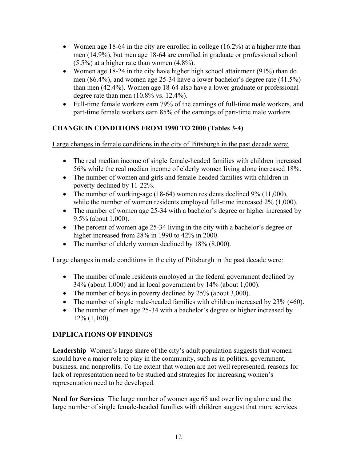- Women age 18-64 in the city are enrolled in college  $(16.2\%)$  at a higher rate than men (14.9%), but men age 18-64 are enrolled in graduate or professional school  $(5.5\%)$  at a higher rate than women  $(4.8\%)$ .
- Women age 18-24 in the city have higher high school attainment (91%) than do men (86.4%), and women age 25-34 have a lower bachelor's degree rate (41.5%) than men (42.4%). Women age 18-64 also have a lower graduate or professional degree rate than men (10.8% vs. 12.4%).
- Full-time female workers earn 79% of the earnings of full-time male workers, and part-time female workers earn 85% of the earnings of part-time male workers.

## **CHANGE IN CONDITIONS FROM 1990 TO 2000 (Tables 3-4)**

Large changes in female conditions in the city of Pittsburgh in the past decade were:

- The real median income of single female-headed families with children increased 56% while the real median income of elderly women living alone increased 18%.
- The number of women and girls and female-headed families with children in poverty declined by 11-22%.
- The number of working-age (18-64) women residents declined 9% (11,000), while the number of women residents employed full-time increased  $2\%$  (1,000).
- The number of women age 25-34 with a bachelor's degree or higher increased by 9.5% (about 1,000).
- The percent of women age 25-34 living in the city with a bachelor's degree or higher increased from 28% in 1990 to 42% in 2000.
- The number of elderly women declined by 18% (8,000).

Large changes in male conditions in the city of Pittsburgh in the past decade were:

- The number of male residents employed in the federal government declined by 34% (about 1,000) and in local government by 14% (about 1,000).
- The number of boys in poverty declined by 25% (about 3,000).
- The number of single male-headed families with children increased by 23% (460).
- The number of men age 25-34 with a bachelor's degree or higher increased by 12% (1,100).

## **IMPLICATIONS OF FINDINGS**

**Leadership** Women's large share of the city's adult population suggests that women should have a major role to play in the community, such as in politics, government, business, and nonprofits. To the extent that women are not well represented, reasons for lack of representation need to be studied and strategies for increasing women's representation need to be developed.

**Need for Services** The large number of women age 65 and over living alone and the large number of single female-headed families with children suggest that more services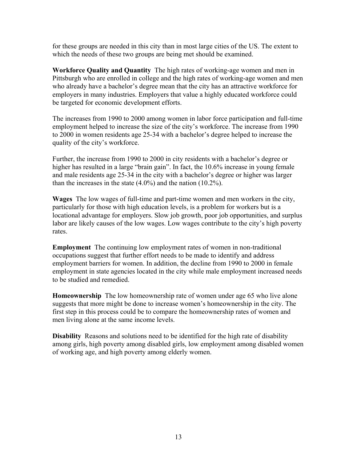for these groups are needed in this city than in most large cities of the US. The extent to which the needs of these two groups are being met should be examined.

**Workforce Quality and Quantity** The high rates of working-age women and men in Pittsburgh who are enrolled in college and the high rates of working-age women and men who already have a bachelor's degree mean that the city has an attractive workforce for employers in many industries. Employers that value a highly educated workforce could be targeted for economic development efforts.

The increases from 1990 to 2000 among women in labor force participation and full-time employment helped to increase the size of the city's workforce. The increase from 1990 to 2000 in women residents age 25-34 with a bachelor's degree helped to increase the quality of the city's workforce.

Further, the increase from 1990 to 2000 in city residents with a bachelor's degree or higher has resulted in a large "brain gain". In fact, the 10.6% increase in young female and male residents age 25-34 in the city with a bachelor's degree or higher was larger than the increases in the state (4.0%) and the nation (10.2%).

**Wages** The low wages of full-time and part-time women and men workers in the city, particularly for those with high education levels, is a problem for workers but is a locational advantage for employers. Slow job growth, poor job opportunities, and surplus labor are likely causes of the low wages. Low wages contribute to the city's high poverty rates.

**Employment** The continuing low employment rates of women in non-traditional occupations suggest that further effort needs to be made to identify and address employment barriers for women. In addition, the decline from 1990 to 2000 in female employment in state agencies located in the city while male employment increased needs to be studied and remedied.

**Homeownership** The low homeownership rate of women under age 65 who live alone suggests that more might be done to increase women's homeownership in the city. The first step in this process could be to compare the homeownership rates of women and men living alone at the same income levels.

**Disability** Reasons and solutions need to be identified for the high rate of disability among girls, high poverty among disabled girls, low employment among disabled women of working age, and high poverty among elderly women.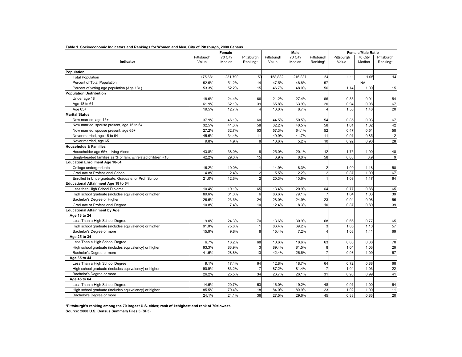|                                                             |            | Female  |                |            | Male    |                         | <b>Female/Male Ratio</b> |           |            |  |
|-------------------------------------------------------------|------------|---------|----------------|------------|---------|-------------------------|--------------------------|-----------|------------|--|
|                                                             | Pittsburgh | 70 City | Pittsburgh     | Pittsburgh | 70 City | Pittsburgh              | Pittsburgh               | 70 City   | Pittsburgh |  |
| Indicator                                                   | Value      | Median  | Ranking*       | Value      | Median  | Ranking*                | Value                    | Median    | Ranking*   |  |
|                                                             |            |         |                |            |         |                         |                          |           |            |  |
| Population                                                  |            |         |                |            |         |                         |                          |           |            |  |
| <b>Total Population</b>                                     | 175.681    | 231.790 | 50             | 158.882    | 216,837 | 54                      | 1.11                     | 1.05      | 14         |  |
| Percent of Total Population                                 | 52.5%      | 51.2%   | 14             | 47.5%      | 48.8%   | 57                      |                          | <b>NA</b> |            |  |
| Percent of voting age population (Age 18+)                  | 53.3%      | 52.2%   | 15             | 46.7%      | 48.0%   | 56                      | 1.14                     | 1.09      | 15         |  |
| <b>Population Distribution</b>                              |            |         |                |            |         |                         |                          |           |            |  |
| Under age 18                                                | 18.6%      | 24.4%   | 66             | 21.2%      | 27.4%   | 66                      | 0.88                     | 0.91      | 54         |  |
| Age 18 to 64                                                | 61.9%      | 62.1%   | 39             | 65.8%      | 63.9%   | 20                      | 0.94                     | 0.98      | 67         |  |
| Age 65+                                                     | 19.5%      | 12.7%   | 4              | 13.0%      | 8.7%    | $\overline{4}$          | 1.50                     | 1.46      | 20         |  |
| <b>Marital Status</b>                                       |            |         |                |            |         |                         |                          |           |            |  |
| Now married, age 15+                                        | 37.9%      | 46.1%   | 60             | 44.5%      | 50.5%   | 54                      | 0.85                     | 0.93      | 67         |  |
| Now married, spouse present, age 15 to 64                   | 32.5%      | 41.3%   | 58             | 32.2%      | 40.5%   | 58                      | 1.01                     | 1.02      | 42         |  |
| Now married, spouse present, age 65+                        | 27.2%      | 32.7%   | 53             | 57.3%      | 64.1%   | 52                      | 0.47                     | 0.51      | 58         |  |
| Never married, age 15 to 64                                 | 45.6%      | 34.4%   | 11             | 49.9%      | 41.7%   | 11                      | 0.91                     | 0.85      | 12         |  |
| Never married, age 65+                                      | 9.8%       | 4.9%    | 8              | 10.6%      | 5.2%    | 10                      | 0.92                     | 0.90      | 28         |  |
| <b>Households &amp; Families</b>                            |            |         |                |            |         |                         |                          |           |            |  |
| Householder age 65+, Living Alone                           | 43.8%      | 38.0%   | 8              | 25.0%      | 20.1%   | 12                      | 1.75                     | 1.90      | 48         |  |
| Single-headed families as % of fam. w/ related children <18 | 42.2%      | 29.0%   | 15             | 6.9%       | 8.0%    | 58                      | 6.08                     | 3.9       | 9          |  |
| <b>Education Enrollment Age 18-64</b>                       |            |         |                |            |         |                         |                          |           |            |  |
| College undergraduate                                       | 16.2%      | 10.0%   | 1              | 14.9%      | 8.3%    | $\overline{a}$          | 1.09                     | 1.18      | 58         |  |
| Graduate or Professional School                             | 4.8%       | 2.4%    | $\overline{2}$ | 5.5%       | 2.2%    | $\overline{2}$          | 0.87                     | 1.09      | 67         |  |
| Enrolled in Undergraduate, Graduate, or Prof. School        | 21.0%      | 12.6%   | $\overline{2}$ | 20.3%      | 10.6%   | $\mathbf{1}$            | 1.03                     | 1.17      | 64         |  |
| <b>Educational Attainment Age 18 to 64</b>                  |            |         |                |            |         |                         |                          |           |            |  |
| Less than High School Diploma                               | 10.4%      | 19.1%   | 65             | 13.4%      | 20.9%   | 64                      | 0.77                     | 0.88      | 65         |  |
| High school graduate (includes equivalency) or higher       | 89.6%      | 81.0%   | 6              | 86.6%      | 79.1%   | $\overline{7}$          | 1.04                     | 1.03      | 30         |  |
| Bachelor's Degree or Higher                                 | 26.5%      | 23.6%   | 24             | 28.0%      | 24.9%   | 23                      | 0.94                     | 0.98      | 55         |  |
| Graduate or Professional Degree                             | 10.8%      | 7.4%    | 10             | 12.4%      | 8.3%    | 10                      | 0.87                     | 0.89      | 39         |  |
| <b>Educational Attainment by Age</b>                        |            |         |                |            |         |                         |                          |           |            |  |
| Age 18 to 24                                                |            |         |                |            |         |                         |                          |           |            |  |
| Less Than a High School Degree                              | 9.0%       | 24.3%   | 70             | 13.6%      | 30.9%   | 68                      | 0.66                     | 0.77      | 65         |  |
| High school graduate (includes equivalency) or higher       | 91.0%      | 75.8%   | 1              | 86.4%      | 69.2%   | 3                       | 1.05                     | 1.10      | 57         |  |
| Bachelor's Degree or more                                   | 15.9%      | 9.8%    | 8              | 15.4%      | 7.2%    | $\overline{\mathbf{4}}$ | 1.03                     | 1.41      | 69         |  |
| Age 25 to 34                                                |            |         |                |            |         |                         |                          |           |            |  |
| Less Than a High School Degree                              | 6.7%       | 16.2%   | 68             | 10.6%      | 18.6%   | 63                      | 0.63                     | 0.86      | 70         |  |
| High school graduate (includes equivalency) or higher       | 93.3%      | 83.9%   | 3              | 89.4%      | 81.5%   | 8                       | 1.04                     | 1.03      | 26         |  |
| Bachelor's Degree or more                                   | 41.5%      | 28.8%   | 13             | 42.4%      | 26.6%   | $\overline{7}$          | 0.98                     | 1.09      | 67         |  |
| Age 35 to 44                                                |            |         |                |            |         |                         |                          |           |            |  |
| Less Than a High School Degree                              | 9.1%       | 17.4%   | 64             | 12.8%      | 18.7%   | 64                      | 0.72                     | 0.88      | 68         |  |
| High school graduate (includes equivalency) or higher       | 90.9%      | 83.2%   | $\overline{7}$ | 87.2%      | 81.4%   | $\overline{7}$          | 1.04                     | 1.03      | 22         |  |
| Bachelor's Degree or more                                   | 26.2%      | 25.5%   | 34             | 26.7%      | 26.1%   | 31                      | 0.98                     | 0.99      | 41         |  |
| Age 45 to 64                                                |            |         |                |            |         |                         |                          |           |            |  |
| Less Than a High School Degree                              | 14.5%      | 20.7%   | 53             | 16.0%      | 19.2%   | 48                      | 0.91                     | 1.00      | 64         |  |
| High school graduate (includes equivalency) or higher       | 85.5%      | 79.4%   | 18             | 84.0%      | 80.9%   | 23                      | 1.02                     | 1.00      | 11         |  |
| Bachelor's Degree or more                                   | 24.1%      | 24.1%   | 36             | 27.5%      | 29.6%   | 45                      | 0.88                     | 0.83      | 20         |  |

**Table 1. Socioeconomic Indicators and Rankings for Women and Men, City of Pittsburgh, 2000 Census**

**Source: 2000 U.S. Census Summary Files 3 (SF3) \*Pittsburgh's ranking among the 70 largest U.S. cities; rank of 1=highest and rank of 70=lowest.**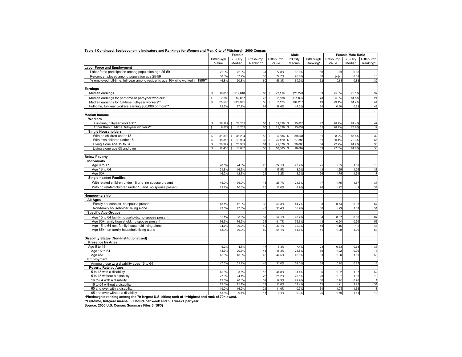|                                                                              | Female       |        |                        |            |                   | Male       |                        | <b>Female/Male Ratio</b> |              |         |                |
|------------------------------------------------------------------------------|--------------|--------|------------------------|------------|-------------------|------------|------------------------|--------------------------|--------------|---------|----------------|
|                                                                              | Pittsburgh   |        | 70 City                | Pittsburgh |                   | Pittsburgh | 70 City                | Pittsburgh               | Pittsburgh   | 70 City |                |
|                                                                              |              |        | Median                 | Ranking*   |                   |            |                        |                          | Value        | Median  | Pittsburgh     |
|                                                                              | Value        |        |                        |            |                   | Value      | Median                 | Ranking*                 |              |         | Ranking*       |
| <b>Labor Force and Employment</b>                                            |              |        |                        |            |                   |            |                        |                          |              |         |                |
| Labor force participation among population age 25-59                         |              | 72.9%  | 72.0%                  | 31         |                   | 77.8%      | 82.6%                  | 58                       | 0.94         | 0.88    | 3              |
| Percent employed among population age 25-59                                  |              | 68.3%  | 67.7%                  |            | 33                | 72.7%      | 76.6%                  | 50                       | 0.94         | 0.89    | 10             |
| % employed full-time, full-year among residents age 16+ who worked in 1999** |              | 46.8%  | 50.8%                  |            | 60                | 56.3%      | 60.9%                  | 62                       | 0.83         | 0.83    | 32             |
| Earnings                                                                     |              |        |                        |            |                   |            |                        |                          |              |         |                |
| Median earnings                                                              | s            | 16,657 | \$19,840               |            | 60<br>\$          | 22,119     | \$26,228               | 63                       | 75.3%        | 76.1%   | 37             |
|                                                                              |              |        |                        |            |                   |            |                        |                          |              |         |                |
| Median earnings for part-time or part-year workers**                         | $\mathsf{s}$ | 7,283  | \$9,857                |            | 70                | 8,536<br>s | \$11,635               | 70                       | 85.3%        | 81.5%   | 24             |
| Median earnings for full-time, full-year workers**                           | $\mathbb S$  | 25,500 | \$27,371               |            | 56 \$             | 32,128     | \$34,267               | 49                       | 79.4%        | 81.7%   | 44             |
| Full-time, full-year workers earning \$30,000 or more**                      |              | 22.5%  | 27.9%                  | 61         |                   | 37.6%      | 44.3%                  | 60                       | 0.60         | 0.63    | 48             |
| <b>Median Income</b>                                                         |              |        |                        |            |                   |            |                        |                          |              |         |                |
| Workers                                                                      |              |        |                        |            |                   |            |                        |                          |              |         |                |
| Full-time, full-year workers**                                               | s            | 26,122 | 28,202<br>\$           |            | 56 \$             | 33,328     | $\mathbf{s}$<br>35,820 | 47                       | 78.4%        | 81.4%   | 47             |
| Other than full-time, full-year workers**                                    | $\mathbb S$  | 8,879  | s<br>10,203            |            | $\mathbf s$<br>60 | 11,326     | $\mathsf{s}$<br>13,639 | 61                       | 78.4%        | 73.6%   | 19             |
| <b>Single Householders</b>                                                   |              |        |                        |            |                   |            |                        |                          |              |         |                |
| With no children under 18                                                    | s            | 31,393 | $\mathbb{S}$<br>35,204 |            | 52S               | 35,586     | \$<br>39,531           | 61                       | 88.2%        | 87.5%   | 32             |
| With own children under 18                                                   | s            | 15,353 | $\mathbb{S}$<br>19,994 |            | 60<br>$\sqrt{3}$  | 25,420     | 27,385<br>$\mathsf{s}$ | 51                       | 60.4%        | 70.3%   | 65             |
| Living alone age 15 to 64                                                    | s            | 20,322 | \$<br>25,909           |            | 61<br>$\sqrt{3}$  | 21,878 \$  | 29,066                 | 64                       | 92.9%        | 91.7%   | 30             |
| Living alone age 65 and over                                                 | s            | 12,450 | s<br>15,807            |            | 58 \$             | 16,005 \$  | 18,682                 | 53                       | 77.8%        | 81.8%   | 50             |
|                                                                              |              |        |                        |            |                   |            |                        |                          |              |         |                |
| <b>Below Poverty</b>                                                         |              |        |                        |            |                   |            |                        |                          |              |         |                |
| <b>Individuals</b>                                                           |              |        |                        |            |                   |            |                        |                          |              |         |                |
| Age 0 to 17                                                                  |              | 28.5%  | 24.8%                  |            | 25                | 27.1%      | 23.9%                  | 25                       | 1.05         | 1.02    | 13             |
| Age 18 to 64                                                                 |              | 21.8%  | 16.6%                  |            | 15                | 17.5%      | 13.0%                  | 13                       | 1.25         | 1.26    | 38             |
| Age 65+                                                                      |              | 16.2%  | 12.7%                  |            | 21                | 9.2%       | 8.3%                   | 26                       | 1.75         | 1.54    | 17             |
| <b>Single-headed Families</b>                                                |              |        |                        |            |                   |            |                        |                          |              |         |                |
| With related children under 18 and no spouse present                         |              | 45.0%  | 36.0%                  |            | 13                | 25.7%      | 21.6%                  | 17                       | 1.75         | 1.67    | 37             |
| With no related children under 18 and no spouse present                      |              | 12.2%  | 10.3%                  |            | 25                | 10.0%      | 8.9%                   | 26                       | 1.22         | 1.2     | 31             |
|                                                                              |              |        |                        |            |                   |            |                        |                          |              |         |                |
| Homeownership                                                                |              |        |                        |            |                   |            |                        |                          |              |         |                |
| <b>All Ages</b>                                                              |              |        |                        |            |                   |            |                        |                          |              |         |                |
| Family households, no spouse present                                         |              | 43.1%  | 42.0%                  |            | 30                | 58.3%      | 44.7%                  | 3                        | 0.74         | 0.93    | 67             |
| Non-family householder, living alone                                         |              | 43.5%  | 47.6%                  |            | 43                | 35.4%      | 35.9%                  | 36                       | 1.23         | 1.31    | 51             |
| <b>Specific Age Groups</b>                                                   |              |        |                        |            |                   |            |                        |                          |              |         |                |
| Age 15 to 64 family households, no spouse present                            |              | 35.1%  | 36.0%                  |            | 39                | 52.1%      | 40.7%                  | $\overline{4}$           | 0.67         | 0.88    | 67             |
| Age 65+ family household, no spouse present                                  |              | 76.5%  | 76.5%                  |            | 35                | 81.7%      | 75.6%                  | 13                       | 0.94         | 0.99    | 53             |
| Age 15 to 64 non-family household living alone                               |              | 34.7%  | 39.2%                  |            | 49                | 30.1%      | 32.3%                  | 40                       | 1.15         | 1.2     | 46             |
| Age 65+ non-family household living alone                                    |              | 53.9%  | 60.0%                  |            | 50                | 54.1%      | 54.8%                  | 41                       | 1.00         | 1.09    | 63             |
|                                                                              |              |        |                        |            |                   |            |                        |                          |              |         |                |
| <b>Disability Status (Non-Institutionalized)</b>                             |              |        |                        |            |                   |            |                        |                          |              |         |                |
| <b>Presence by Ages</b><br>Age 5 to 15                                       |              | 5.2%   | 4.8%                   |            | 17                | 8.3%       |                        |                          |              |         |                |
|                                                                              |              |        |                        |            |                   |            | 7.4%                   | 23                       | 0.63<br>1.02 | 0.63    | 35             |
| Age 16 to 64                                                                 |              | 18.7%  | 20.3%                  |            | 44<br>45          | 18.3%      | 21.8%                  | 55                       |              | 0.92    | $\overline{1}$ |
| Age 65+                                                                      |              | 45.0%  | 46.3%                  |            |                   | 42.5%      | 42.0%                  | 33                       | 1.06         | 1.09    | 50             |
| Employment                                                                   |              |        |                        |            |                   |            |                        |                          |              |         |                |
| Among those w/ a disability ages 16 to 64                                    |              | 47.3%  | 51.2%                  |            | 46                | 51.0%      | 59.0%                  | 58                       | 0.93         | 0.87    | 13             |
| Poverty Rate by Ages                                                         |              |        |                        |            |                   |            |                        |                          |              |         |                |
| 5 to 15 with a disability                                                    |              | 45.8%  | 33.5%                  |            | 13                | 44.8%      | 31.4%                  | $6\phantom{a}$           | 1.02         | 1.07    | 52             |
| 5 to 15 without a disability                                                 |              | 27.0%  | 24.1%                  |            | 25                | 25.2%      | 23.1%                  | 28                       | 1.07         | 1.03    | 13             |
| 16 to 64 with a disability                                                   |              | 19.6%  | 20.3%                  |            | 39                | 19.9%      | 22.9%                  | 50                       | 0.98         | 0.98    | $\overline{1}$ |
| 16 to 64 without a disability                                                |              | 19.0%  | 15.1%                  |            | 17                | 15.8%      | 11.4%                  | 15                       | 1.21         | 1.27    | 51             |
| 65 and over with a disability                                                |              | 19.0%  | 16.9%                  |            | 24                | 11.0%      | 10.7%                  | 34                       | 1.76         | 1.56    | 18             |
| 65 and over without a disability                                             |              | 13.8%  | 9.4%                   |            | 17                | 8.1%       | 6.3%                   | 26                       | 1.70         | 1.51    | 18             |

**Table 1 Continued. Socioeconomic Indicators and Rankings for Women and Men, City of Pittsburgh, 2000 Census**

**\*Pittsburgh's ranking among the 70 largest U.S. cities; rank of 1=highest and rank of 70=lowest.**

**\*\*Full-time, full-year means 35+ hours per week and 50+ weeks per year. Source: 2000 U.S. Census Summary Files 3 (SF3)**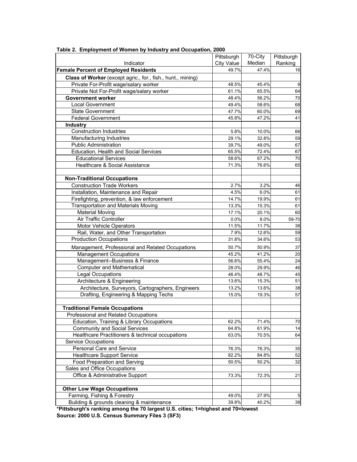|                                                             | Pittsburgh        | 70-City | Pittsburgh      |
|-------------------------------------------------------------|-------------------|---------|-----------------|
| Indicator                                                   | <b>City Value</b> | Median  | Ranking         |
| <b>Female Percent of Employed Residents</b>                 | 49.7%             | 47.4%   | 16              |
| Class of Worker (except agric., for., fish., hunt., mining) |                   |         |                 |
| Private For-Profit wage/salary worker                       | 48.5%             | 45.4%   | 9               |
| Private Not For-Profit wage/salary worker                   | 61.1%             | 65.5%   | 64              |
| <b>Government worker</b>                                    | 48.4%             | 56.2%   | 70              |
| <b>Local Government</b>                                     | 49.4%             | 58.6%   | 68              |
| <b>State Government</b>                                     | 47.7%             | 60.0%   | 69              |
| <b>Federal Government</b>                                   | 45.8%             | 47.2%   | 41              |
| <b>Industry</b>                                             |                   |         |                 |
| <b>Construction Industries</b>                              | 5.8%              | 10.0%   | 66              |
| Manufacturing Industries                                    | 29.1%             | 32.8%   | 59              |
| <b>Public Administration</b>                                | 39.7%             | 49.0%   | 67              |
| Education, Health and Social Services                       | 65.5%             | 72.4%   | 67              |
| <b>Educational Services</b>                                 | 58.6%             | 67.2%   | 70              |
| Healthcare & Social Assistance                              | 71.3%             | 76.6%   | 65              |
|                                                             |                   |         |                 |
| <b>Non-Traditional Occupations</b>                          |                   |         |                 |
| <b>Construction Trade Workers</b>                           | 2.7%              | 3.2%    | 46              |
| Installation, Maintenance and Repair                        | 4.5%              | 6.0%    | 61              |
| Firefighting, prevention, & law enforcement                 | 14.7%             | 19.9%   | 61              |
| <b>Transportation and Materials Moving</b>                  | 13.3%             | 15.3%   | 61              |
| <b>Material Moving</b>                                      | 17.1%             | 20.1%   | 60              |
| Air Traffic Controller                                      | 0.0%              | 8.0%    | 59-70           |
| Motor Vehicle Operators                                     | 11.5%             | 11.7%   | 38              |
| Rail, Water, and Other Transportation                       | 7.9%              | 12.6%   | 59              |
| <b>Production Occupations</b>                               | 31.8%             | 34.6%   | 53              |
| Management, Professional and Related Occupations            | 50.7%             | 50.9%   | 37              |
| <b>Management Occupations</b>                               | 45.2%             | 41.2%   | 20              |
| Management--Business & Finance                              | 56.6%             | 55.4%   | 24              |
| <b>Computer and Mathematical</b>                            | 28.0%             | 29.9%   | 46              |
| Legal Occupations                                           | 46.4%             | 48.7%   | 45              |
| Architecture & Engineering                                  | 13.6%             | 15.3%   | 51              |
| Architecture, Surveyors, Cartographers, Engineers           | 13.2%             | 13.6%   | 38              |
| Drafting, Engineering & Mapping Techs                       | 15.0%             | 19.3%   | 57              |
|                                                             |                   |         |                 |
| <b>Traditional Female Occupations</b>                       |                   |         |                 |
| Professional and Related Occupations                        |                   |         |                 |
| Education, Training & Library Occupations                   | 62.2%             | 71.4%   | 70              |
| <b>Community and Social Services</b>                        | 64.8%             | 61.9%   | 14              |
| Healthcare Practitioners & technical occupations            | 63.0%             | 70.5%   | 64              |
| <b>Service Occupations</b>                                  |                   |         |                 |
| Personal Care and Service                                   | 76.3%             | 76.3%   | 35              |
| <b>Healthcare Support Service</b>                           | 82.2%             | 84.8%   | 52              |
| Food Preparation and Serving                                | 50.5%             | 50.2%   | 32              |
| Sales and Office Occupations                                |                   |         |                 |
| Office & Administrative Support                             | 73.3%             | 72.3%   | 21              |
|                                                             |                   |         |                 |
| Other Low Wage Occupations                                  |                   |         |                 |
| Farming, Fishing & Forestry                                 | 49.0%             | 27.9%   | $5\phantom{.0}$ |
| Building & grounds cleaning & maintenance                   | 39.8%             | 40.2%   | 38              |

**Table 2. Employment of Women by Industry and Occupation, 2000**

**Source: 2000 U.S. Census Summary Files 3 (SF3) \*Pittsburgh's ranking among the 70 largest U.S. cities; 1=highest and 70=lowest**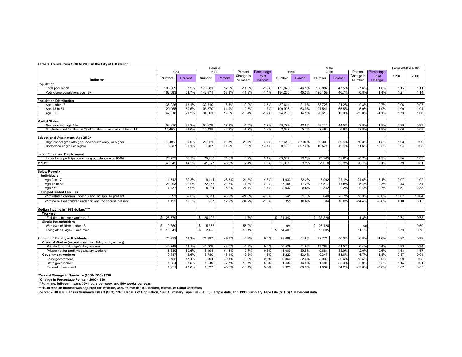#### **Table 3. Trends from 1990 to 2000 in the City of Pittsburgh**

|                                                                                         |                  | Female         |                  |         |                      |                   | Male            |               |                 |               |                     |                 |              | Female/Male Ratio |
|-----------------------------------------------------------------------------------------|------------------|----------------|------------------|---------|----------------------|-------------------|-----------------|---------------|-----------------|---------------|---------------------|-----------------|--------------|-------------------|
|                                                                                         | 1990             |                | 2000             |         | Percent              | Percentage        |                 | 1990          | 2000            |               | Percent             | Percentage      |              |                   |
| Indicator                                                                               | Number           | Percent        | Number           | Percent | Change in<br>Number* | Point<br>Change** | Number          | Percent       | Number          | Percent       | Change in<br>Number | Point<br>Change | 1990         | 2000              |
| Population                                                                              |                  |                |                  |         |                      |                   |                 |               |                 |               |                     |                 |              |                   |
| Total population                                                                        | 198.009          | 53.5%          | 175.681          | 52.5%   | $-11.3%$             | $-1.0%$           | 171.870         | 46.5%         | 158.882         | 47.5%         | $-7.6%$             | 1.0%            | 1.15         | 1.11              |
| Voting-age population, age 18+                                                          | 162.083          | 54.7%          | 142.971          | 53.3%   | $-11.8%$             | $-1.4%$           | 134,256         | 45.3%         | 125.159         | 46.7%         | $-6.8%$             | 1.4%            | 1.21         | 1.14              |
|                                                                                         |                  |                |                  |         |                      |                   |                 |               |                 |               |                     |                 |              |                   |
| <b>Population Distribution</b>                                                          |                  |                |                  |         |                      |                   |                 |               |                 |               |                     |                 |              |                   |
| Age under 18                                                                            | 35.926           | 18.1%          | 32.710           | 18.6%   | $-9.0%$              | 0.5%              | 37.614          | 21.9%         | 33,723          | 21.2%         | $-10.3%$            | $-0.7%$         | 0.96         | 0.97              |
| Age 18 to 64                                                                            | 120.065          | 60.6%          | 108.670          | 61.9%   | $-9.5%$              | 1.3%              | 109.996         | 63.9%         | 104.541         | 65.8%         | $-5.0%$             | 1.9%            | 1.09         | 1.04              |
| Age $65+$                                                                               | 42.018           | 21.2%          | 34.301           | 19.5%   | $-18.4%$             | $-1.7%$           | 24.260          | 14.1%         | 20.618          | 13.0%         | $-15.0%$            | $-1.1%$         | 1.73         | 1.66              |
|                                                                                         |                  |                |                  |         |                      |                   |                 |               |                 |               |                     |                 |              |                   |
| <b>Marital Status</b>                                                                   |                  |                |                  | 37.9%   |                      |                   |                 |               |                 |               |                     |                 |              |                   |
| Now married, age 15+<br>Single-headed families as % of families w/ related children <18 | 58,930<br>15.405 | 35.2%<br>39.0% | 56,279<br>15.138 | 42.2%   | $-4.5%$<br>$-1.7%$   | 2.7%<br>3.2%      | 59,779<br>2.027 | 42.6%<br>5.1% | 58,114<br>2.490 | 44.5%<br>6.9% | $-2.8%$<br>22.8%    | 1.9%<br>1.8%    | 0.99<br>7.60 | 0.97<br>6.08      |
|                                                                                         |                  |                |                  |         |                      |                   |                 |               |                 |               |                     |                 |              |                   |
| <b>Educational Attainment, Age 25-34</b>                                                |                  |                |                  |         |                      |                   |                 |               |                 |               |                     |                 |              |                   |
| High school graduate (includes equivalency) or higher                                   | 28,495           | 89.6%          | 22.021           | 93.3%   | $-22.7%$             | 3.7%              | 27.648          | 87.90%        | 22.309          | 89.4%         | $-19.3%$            | 1.5%            | 1.03         | 0.99              |
| Bachelor's degree or higher                                                             | 8.937            | 28.1%          | 9.787            | 41.5%   | 9.5%                 | 13.4%             | 9.468           | 30.10%        | 10,571          | 42.4%         | 11.6%               | 12.3%           | 0.94         | 0.93              |
|                                                                                         |                  |                |                  |         |                      |                   |                 |               |                 |               |                     |                 |              |                   |
| <b>Labor Force and Employment</b>                                                       |                  |                |                  |         |                      |                   |                 |               |                 |               |                     |                 |              |                   |
| Labor force participation among population age 16-64                                    | 78.772           | 63.7%          | 78.900           | 71.8%   | 0.2%                 | 8.1%              | 83.567          | 73.2%         | 76.265          | 69.0%         | $-8.7%$             | $-4.2%$         | 0.94         | 1.03              |
| 1999***                                                                                 | 40.345           | 44.3%          | 41.327           | 46.8%   | 2.4%                 | 2.5%              | 51,361          | 53.2%         | 51.018          | 56.3%         | $-0.7%$             | 3.1%            | 0.79         | 0.81              |
|                                                                                         |                  |                |                  |         |                      |                   |                 |               |                 |               |                     |                 |              |                   |
| <b>Below Poverty</b>                                                                    |                  |                |                  |         |                      |                   |                 |               |                 |               |                     |                 |              |                   |
| Individuals                                                                             |                  |                |                  |         |                      |                   |                 |               |                 |               |                     |                 |              |                   |
| Age 0 to 17                                                                             | 11.612           | 32.8%          | 9.144            | 28.5%   | $-21.3%$             | $-4.3%$           | 11.933          | 32.2%         | 8.992           | 27.1%         | $-24.6%$            | $-5.1%$         | 0.97         | 1.02              |
| Age 18 to 64                                                                            | 24,993           | 22.0%          | 22,167           | 21.8%   | $-11.3%$             | $-0.2%$           | 17,465          | 17.2%         | 16,517          | 17.5%         | $-5.4%$             | 0.3%            | 1.43         | 1.34              |
| Age 65+                                                                                 | 7.137            | 17.9%          | 5.204            | 16.2%   | $-27.1%$             | $-1.7%$           | 2.032           | 8.5%          | 1.842           | 9.2%          | $-9.4%$             | 0.7%            | 3.51         | 2.83              |
| <b>Single-Headed Families</b>                                                           |                  |                |                  |         |                      |                   |                 |               |                 |               |                     |                 |              |                   |
| With related children under 18 and no spouse present                                    | 8.693            | 52.0%          | 6.811            | 45.0%   | $-21.6%$             | $-7.0%$           | 541             | 31.7%         | 640             | 25.7%         | 18.3%               | $-6.0%$         | 16.07        | 10.64             |
| With no related children under 18 and no spouse present                                 | 1.455            | 13.5%          | 957              | 12.2%   | $-34.2%$             | $-1.3%$           | 355             | 10.6%         | 304             | 10.0%         | $-14.4%$            | $-0.6%$         | 4.10         | 3.15              |
| Median Income in 1999 dollars****                                                       |                  |                |                  |         |                      |                   |                 |               |                 |               |                     |                 |              |                   |
| <b>Workers</b>                                                                          |                  |                |                  |         |                      |                   |                 |               |                 |               |                     |                 |              |                   |
| Full-time, full-year workers***                                                         | \$25,679         |                | \$26,122         |         | 1.7%                 |                   | \$34,842        |               | \$33,328        |               | $-4.3%$             |                 | 0.74         | 0.78              |
| <b>Single Householders</b>                                                              |                  |                |                  |         |                      |                   |                 |               |                 |               |                     |                 |              |                   |
| With own children under 18                                                              | 9,850<br>\$      |                | \$ 15,353        |         | 55.9%                |                   | n/a             |               | \$25,420        |               | n/a                 |                 |              | 0.60              |
| Living alone, age 65 and over                                                           | \$ 10.541        |                | \$12,450         |         | 18.1%                |                   | \$14.403        |               | \$16,005        |               | 11.1%               |                 | 0.73         | 0.78              |
|                                                                                         |                  |                |                  |         |                      |                   |                 |               |                 |               |                     |                 |              |                   |
| <b>Percent of Employed Residents</b>                                                    | 75.932           | 49.3%          | 71,997           | 49.7%   | $-5.2%$              | 0.4%              | 78.088          | 51.9%         | 72,771          | 50.3%         | $-6.8%$             | $-1.6%$         | 0.97         | 0.99              |
| Class of Worker (except agric., for., fish., hunt., mining)                             |                  |                |                  |         |                      |                   |                 |               |                 |               |                     |                 |              |                   |
| Private for-profit wage/salary workers                                                  | 46,749           | 48.1%          | 44,509           | 48.5%   | $-4.8%$              | 0.4%              | 50,529          | 51.9%         | 47,283          | 51.5%         | $-6.4%$             | $-0.4%$         | 0.93         | 0.94              |
| Private not for-profit wage/salary workers                                              | 16.830           | 60.5%          | 15.194           | 61.1%   | $-9.7%$              | 0.6%              | 11.000          | 39.5%         | 9.681           | 38.9%         | $-12.0%$            | $-0.6%$         | 1.53         | 1.57              |
| <b>Government workers</b>                                                               | 9,787            | 46.6%          | 8,780            | 48.4%   | $-10.3%$             | 1.8%              | 11,222          | 53.4%         | 9,347           | 51.6%         | $-16.7%$            | $-1.8%$         | 0.87         | 0.94              |
| Local government                                                                        | 6.182            | 47.4%          | 5,794            | 49.4%   | $-6.3%$              | 2.0%              | 6.860           | 52.6%         | 5.932           | 50.6%         | $-13.5%$            | $-2.0%$         | 0.90         | 0.98              |
| State government                                                                        | 1,654            | 53.5%          | 1,349            | 47.7%   | $-18.4%$             | $-5.8%$           | 1,439           | 46.5%         | 1,481           | 52.3%         | 2.9%                | 5.8%            | 1.15         | 0.91              |
| Federal government                                                                      | 1.951            | 40.0%          | 1.637            | 45.8%   | $-16.1%$             | 5.8%              | 2.923           | 60.0%         | 1.934           | 54.2%         | $-33.8%$            | $-5.8%$         | 0.67         | 0.85              |

**\*Percent Change in Number = (2000-1990)/1990 \*\*Change in Percentage Points = 2000-1990**

**\*\*\*Full-time, full-year means 35+ hours per week and 50+ weeks per year. \*\*\*\*1989 Median Income was adjusted for inflation, 34%, to match 1999 dollars, Bureau of Labor Statistics**

**Source: 2000 U.S. Census Summary Files 3 (SF3), 1990 Census of Population, 1990 Summary Tape File (STF 3) Sample data, and 1990 Summary Tape File (STF 3) 100 Percent data**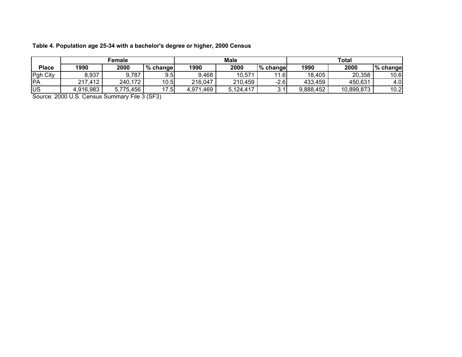| Table 4. Population age 25-34 with a bachelor's degree or higher, 2000 Census |  |  |
|-------------------------------------------------------------------------------|--|--|
|-------------------------------------------------------------------------------|--|--|

|              |           | Female    |          |               | <b>Male</b> |          |           | <b>Total</b> |          |
|--------------|-----------|-----------|----------|---------------|-------------|----------|-----------|--------------|----------|
| <b>Place</b> | 1990      | 2000      | % change | 1990          | 2000        | % change | 1990      | 2000         | % change |
| Pgh City     | 8,937     | 9,787     | 9.5      | 9,468         | 10,571      | 11.6     | 18,405    | 20,358       | 10.6     |
| <b>PA</b>    | 217,412   | 240,172   | 10.5     | 216,047       | 210,459     | $-2.6$   | 433,459   | 450,631      | 4.0      |
| <b>US</b>    | 4,916,983 | 5,775,456 | 17.5     | .469<br>4,971 | 5,124,417   | ບ.       | 9,888,452 | 10,899,873   | 10.2     |

Source: 2000 U.S. Census Summary File 3 (SF3)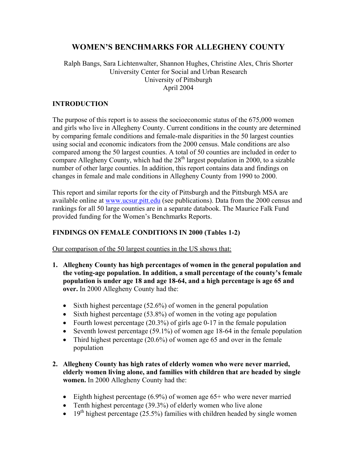# **WOMEN'S BENCHMARKS FOR ALLEGHENY COUNTY**

#### Ralph Bangs, Sara Lichtenwalter, Shannon Hughes, Christine Alex, Chris Shorter University Center for Social and Urban Research University of Pittsburgh April 2004

#### **INTRODUCTION**

The purpose of this report is to assess the socioeconomic status of the 675,000 women and girls who live in Allegheny County. Current conditions in the county are determined by comparing female conditions and female-male disparities in the 50 largest counties using social and economic indicators from the 2000 census. Male conditions are also compared among the 50 largest counties. A total of 50 counties are included in order to compare Allegheny County, which had the  $28<sup>th</sup>$  largest population in 2000, to a sizable number of other large counties. In addition, this report contains data and findings on changes in female and male conditions in Allegheny County from 1990 to 2000.

This report and similar reports for the city of Pittsburgh and the Pittsburgh MSA are available online at www.ucsur.pitt.edu (see publications). Data from the 2000 census and rankings for all 50 large counties are in a separate databook. The Maurice Falk Fund provided funding for the Women's Benchmarks Reports.

#### **FINDINGS ON FEMALE CONDITIONS IN 2000 (Tables 1-2)**

Our comparison of the 50 largest counties in the US shows that:

- **1. Allegheny County has high percentages of women in the general population and the voting-age population. In addition, a small percentage of the county's female population is under age 18 and age 18-64, and a high percentage is age 65 and over.** In 2000 Allegheny County had the:
	- Sixth highest percentage  $(52.6\%)$  of women in the general population
	- Sixth highest percentage (53.8%) of women in the voting age population
	- Fourth lowest percentage  $(20.3\%)$  of girls age 0-17 in the female population
	- Seventh lowest percentage (59.1%) of women age 18-64 in the female population
	- Third highest percentage  $(20.6\%)$  of women age 65 and over in the female population
- **2. Allegheny County has high rates of elderly women who were never married, elderly women living alone, and families with children that are headed by single women.** In 2000 Allegheny County had the:
	- Eighth highest percentage  $(6.9\%)$  of women age 65+ who were never married
	- Tenth highest percentage (39.3%) of elderly women who live alone
	- 19<sup>th</sup> highest percentage (25.5%) families with children headed by single women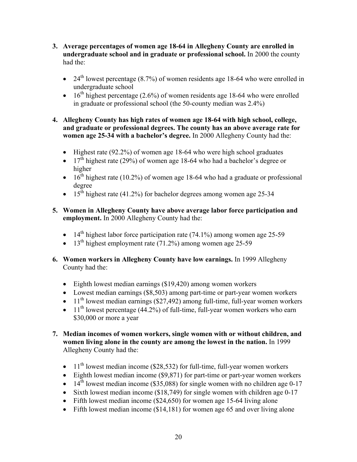- **3. Average percentages of women age 18-64 in Allegheny County are enrolled in undergraduate school and in graduate or professional school.** In 2000 the county had the:
	- 24<sup>th</sup> lowest percentage (8.7%) of women residents age 18-64 who were enrolled in undergraduate school
	- 16<sup>th</sup> highest percentage (2.6%) of women residents age 18-64 who were enrolled in graduate or professional school (the 50-county median was 2.4%)

#### **4. Allegheny County has high rates of women age 18-64 with high school, college, and graduate or professional degrees. The county has an above average rate for women age 25-34 with a bachelor's degree.** In 2000 Allegheny County had the:

- Highest rate (92.2%) of women age 18-64 who were high school graduates
- 17<sup>th</sup> highest rate (29%) of women age 18-64 who had a bachelor's degree or higher
- $16^{\text{th}}$  highest rate (10.2%) of women age 18-64 who had a graduate or professional degree
- 15<sup>th</sup> highest rate (41.2%) for bachelor degrees among women age 25-34
- **5. Women in Allegheny County have above average labor force participation and employment.** In 2000 Allegheny County had the:
	- 14<sup>th</sup> highest labor force participation rate (74.1%) among women age 25-59
	- 13<sup>th</sup> highest employment rate  $(71.2\%)$  among women age 25-59
- **6. Women workers in Allegheny County have low earnings.** In 1999 Allegheny County had the:
	- Eighth lowest median earnings (\$19,420) among women workers
	- Lowest median earnings (\$8,503) among part-time or part-year women workers
	- $\bullet$  11<sup>th</sup> lowest median earnings (\$27,492) among full-time, full-year women workers
	- $11<sup>th</sup>$  lowest percentage (44.2%) of full-time, full-year women workers who earn \$30,000 or more a year
- **7. Median incomes of women workers, single women with or without children, and women living alone in the county are among the lowest in the nation.** In 1999 Allegheny County had the:
	- $11<sup>th</sup>$  lowest median income (\$28,532) for full-time, full-year women workers
	- Eighth lowest median income (\$9,871) for part-time or part-year women workers
	- $\bullet$  14<sup>th</sup> lowest median income (\$35,088) for single women with no children age 0-17
	- Sixth lowest median income (\$18,749) for single women with children age 0-17
	- Fifth lowest median income (\$24,650) for women age 15-64 living alone
	- Fifth lowest median income (\$14,181) for women age 65 and over living alone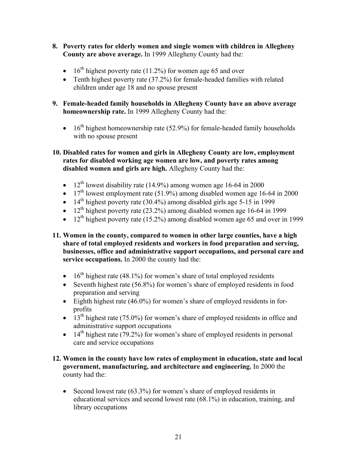- **8. Poverty rates for elderly women and single women with children in Allegheny County are above average.** In 1999 Allegheny County had the:
	- 16<sup>th</sup> highest poverty rate (11.2%) for women age 65 and over
	- Tenth highest poverty rate (37.2%) for female-headed families with related children under age 18 and no spouse present
- **9. Female-headed family households in Allegheny County have an above average homeownership rate.** In 1999 Allegheny County had the:
	- $16<sup>th</sup>$  highest homeownership rate (52.9%) for female-headed family households with no spouse present
- **10. Disabled rates for women and girls in Allegheny County are low, employment rates for disabled working age women are low, and poverty rates among disabled women and girls are high.** Allegheny County had the:
	- $12<sup>th</sup>$  lowest disability rate (14.9%) among women age 16-64 in 2000
	- $17<sup>th</sup>$  lowest employment rate (51.9%) among disabled women age 16-64 in 2000
	- 14<sup>th</sup> highest poverty rate (30.4%) among disabled girls age 5-15 in 1999
	- 12<sup>th</sup> highest poverty rate  $(23.2\%)$  among disabled women age 16-64 in 1999
	- 12<sup>th</sup> highest poverty rate (15.2%) among disabled women age 65 and over in 1999
- **11. Women in the county, compared to women in other large counties, have a high share of total employed residents and workers in food preparation and serving, businesses, office and administrative support occupations, and personal care and service occupations.** In 2000 the county had the:
	- 16<sup>th</sup> highest rate (48.1%) for women's share of total employed residents
	- Seventh highest rate (56.8%) for women's share of employed residents in food preparation and serving
	- Eighth highest rate (46.0%) for women's share of employed residents in forprofits
	- $13<sup>th</sup>$  highest rate (75.0%) for women's share of employed residents in office and administrative support occupations
	- 14<sup>th</sup> highest rate (79.2%) for women's share of employed residents in personal care and service occupations
- **12. Women in the county have low rates of employment in education, state and local government, manufacturing, and architecture and engineering.** In 2000 the county had the:
	- Second lowest rate (63.3%) for women's share of employed residents in educational services and second lowest rate (68.1%) in education, training, and library occupations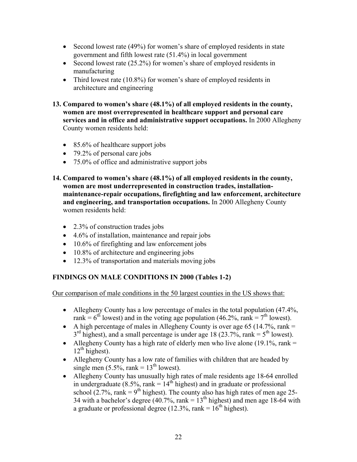- Second lowest rate (49%) for women's share of employed residents in state government and fifth lowest rate (51.4%) in local government
- Second lowest rate (25.2%) for women's share of employed residents in manufacturing
- Third lowest rate (10.8%) for women's share of employed residents in architecture and engineering
- **13. Compared to women's share (48.1%) of all employed residents in the county, women are most overrepresented in healthcare support and personal care services and in office and administrative support occupations.** In 2000 Allegheny County women residents held:
	- 85.6% of healthcare support jobs
	- 79.2% of personal care jobs
	- 75.0% of office and administrative support jobs
- **14. Compared to women's share (48.1%) of all employed residents in the county, women are most underrepresented in construction trades, installationmaintenance-repair occupations, firefighting and law enforcement, architecture and engineering, and transportation occupations.** In 2000 Allegheny County women residents held:
	- 2.3% of construction trades jobs
	- 4.6% of installation, maintenance and repair jobs
	- 10.6% of firefighting and law enforcement jobs
	- 10.8% of architecture and engineering jobs
	- 12.3% of transportation and materials moving jobs

## **FINDINGS ON MALE CONDITIONS IN 2000 (Tables 1-2)**

Our comparison of male conditions in the 50 largest counties in the US shows that:

- Allegheny County has a low percentage of males in the total population (47.4%, rank =  $6<sup>th</sup>$  lowest) and in the voting age population (46.2%, rank =  $7<sup>th</sup>$  lowest).
- A high percentage of males in Allegheny County is over age 65 (14.7%, rank  $=$  $3<sup>rd</sup>$  highest), and a small percentage is under age 18 (23.7%, rank =  $5<sup>th</sup>$  lowest).
- Allegheny County has a high rate of elderly men who live alone (19.1%, rank  $=$  $12<sup>th</sup>$  highest).
- Allegheny County has a low rate of families with children that are headed by single men  $(5.5\%$ , rank =  $13<sup>th</sup>$  lowest).
- Allegheny County has unusually high rates of male residents age 18-64 enrolled in undergraduate (8.5%, rank =  $14<sup>th</sup>$  highest) and in graduate or professional school (2.7%, rank =  $9<sup>th</sup>$  highest). The county also has high rates of men age 25-34 with a bachelor's degree (40.7%, rank =  $13<sup>th</sup>$  highest) and men age 18-64 with a graduate or professional degree (12.3%, rank =  $16<sup>th</sup>$  highest).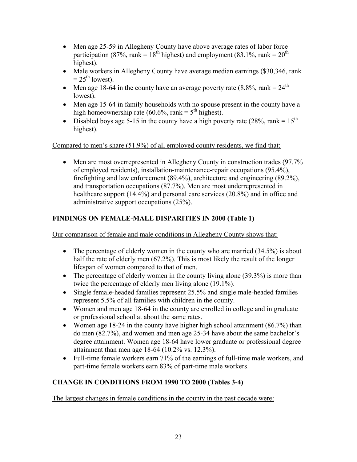- Men age 25-59 in Allegheny County have above average rates of labor force participation (87%, rank =  $18<sup>th</sup>$  highest) and employment (83.1%, rank =  $20<sup>th</sup>$ highest).
- Male workers in Allegheny County have average median earnings (\$30,346, rank  $= 25<sup>th</sup>$  lowest).
- Men age 18-64 in the county have an average poverty rate  $(8.8\%$ , rank =  $24<sup>th</sup>$ lowest).
- Men age 15-64 in family households with no spouse present in the county have a high homeownership rate (60.6%, rank =  $5<sup>th</sup>$  highest).
- Disabled boys age 5-15 in the county have a high poverty rate (28%, rank =  $15<sup>th</sup>$ ) highest).

Compared to men's share (51.9%) of all employed county residents, we find that:

• Men are most overrepresented in Allegheny County in construction trades (97.7%) of employed residents), installation-maintenance-repair occupations (95.4%), firefighting and law enforcement (89.4%), architecture and engineering (89.2%), and transportation occupations (87.7%). Men are most underrepresented in healthcare support (14.4%) and personal care services (20.8%) and in office and administrative support occupations (25%).

## **FINDINGS ON FEMALE-MALE DISPARITIES IN 2000 (Table 1)**

Our comparison of female and male conditions in Allegheny County shows that:

- The percentage of elderly women in the county who are married  $(34.5%)$  is about half the rate of elderly men (67.2%). This is most likely the result of the longer lifespan of women compared to that of men.
- The percentage of elderly women in the county living alone  $(39.3\%)$  is more than twice the percentage of elderly men living alone (19.1%).
- Single female-headed families represent 25.5% and single male-headed families represent 5.5% of all families with children in the county.
- Women and men age 18-64 in the county are enrolled in college and in graduate or professional school at about the same rates.
- Women age 18-24 in the county have higher high school attainment (86.7%) than do men (82.7%), and women and men age 25-34 have about the same bachelor's degree attainment. Women age 18-64 have lower graduate or professional degree attainment than men age 18-64 (10.2% vs. 12.3%).
- Full-time female workers earn 71% of the earnings of full-time male workers, and part-time female workers earn 83% of part-time male workers.

## **CHANGE IN CONDITIONS FROM 1990 TO 2000 (Tables 3-4)**

The largest changes in female conditions in the county in the past decade were: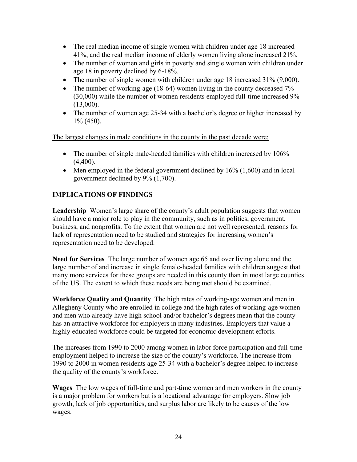- The real median income of single women with children under age 18 increased 41%, and the real median income of elderly women living alone increased 21%.
- The number of women and girls in poverty and single women with children under age 18 in poverty declined by 6-18%.
- The number of single women with children under age 18 increased 31% (9,000).
- The number of working-age (18-64) women living in the county decreased 7% (30,000) while the number of women residents employed full-time increased 9% (13,000).
- The number of women age 25-34 with a bachelor's degree or higher increased by 1% (450).

The largest changes in male conditions in the county in the past decade were:

- The number of single male-headed families with children increased by 106%  $(4,400)$ .
- Men employed in the federal government declined by  $16\%$  (1,600) and in local government declined by 9% (1,700).

## **IMPLICATIONS OF FINDINGS**

**Leadership** Women's large share of the county's adult population suggests that women should have a major role to play in the community, such as in politics, government, business, and nonprofits. To the extent that women are not well represented, reasons for lack of representation need to be studied and strategies for increasing women's representation need to be developed.

**Need for Services** The large number of women age 65 and over living alone and the large number of and increase in single female-headed families with children suggest that many more services for these groups are needed in this county than in most large counties of the US. The extent to which these needs are being met should be examined.

**Workforce Quality and Quantity** The high rates of working-age women and men in Allegheny County who are enrolled in college and the high rates of working-age women and men who already have high school and/or bachelor's degrees mean that the county has an attractive workforce for employers in many industries. Employers that value a highly educated workforce could be targeted for economic development efforts.

The increases from 1990 to 2000 among women in labor force participation and full-time employment helped to increase the size of the county's workforce. The increase from 1990 to 2000 in women residents age 25-34 with a bachelor's degree helped to increase the quality of the county's workforce.

**Wages** The low wages of full-time and part-time women and men workers in the county is a major problem for workers but is a locational advantage for employers. Slow job growth, lack of job opportunities, and surplus labor are likely to be causes of the low wages.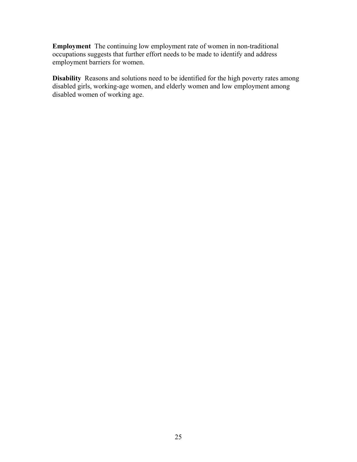**Employment** The continuing low employment rate of women in non-traditional occupations suggests that further effort needs to be made to identify and address employment barriers for women.

**Disability** Reasons and solutions need to be identified for the high poverty rates among disabled girls, working-age women, and elderly women and low employment among disabled women of working age.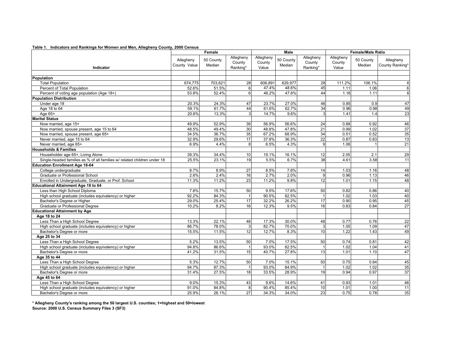|  | Table 1. Indicators and Rankings for Women and Men, Allegheny County, 2000 Census |  |
|--|-----------------------------------------------------------------------------------|--|
|--|-----------------------------------------------------------------------------------|--|

|                                                                          |                           | Female              |                                 |                              | Male                |                                 | <b>Female/Male Ratio</b>     |                     |                              |  |
|--------------------------------------------------------------------------|---------------------------|---------------------|---------------------------------|------------------------------|---------------------|---------------------------------|------------------------------|---------------------|------------------------------|--|
| Indicator                                                                | Allegheny<br>County Value | 50 County<br>Median | Allegheny<br>County<br>Ranking* | Allegheny<br>County<br>Value | 50 County<br>Median | Allegheny<br>County<br>Ranking* | Allegheny<br>County<br>Value | 50 County<br>Median | Allegheny<br>County Ranking* |  |
|                                                                          |                           |                     |                                 |                              |                     |                                 |                              |                     |                              |  |
| Population                                                               |                           |                     |                                 |                              |                     |                                 |                              |                     |                              |  |
| <b>Total Population</b>                                                  | 674,775                   | 703,621             | 28                              | 606,891                      | 629,977             | 28                              | 111.2%                       | 106.1%              | 6                            |  |
| Percent of Total Population                                              | 52.6%                     | 51.5%               | $6 \overline{}$                 | 47.4%                        | 48.6%               | 45                              | 1.11                         | 1.06                | 6                            |  |
| Percent of voting age population (Age 18+)                               | 53.8%                     | 52.4%               | $6 \mid$                        | 46.2%                        | 47.6%               | 44                              | 1.16                         | 1.11                | 6                            |  |
| <b>Population Distribution</b>                                           |                           |                     |                                 |                              |                     |                                 |                              |                     |                              |  |
| Under age 18                                                             | 20.3%                     | 24.3%               | 47                              | 23.7%                        | 27.0%               | 46                              | 0.85                         | 0.9                 | 47                           |  |
| Age 18 to 64                                                             | 59.1%                     | 61.7%               | 44                              | 61.6%                        | 62.7%               | 34                              | 0.96                         | 0.98                | 49                           |  |
| Age 65+                                                                  | 20.6%                     | 13.3%               | $\overline{3}$                  | 14.7%                        | 9.6%                | 3                               | 1.41                         | 1.4                 | 23                           |  |
| <b>Marital Status</b>                                                    |                           |                     |                                 |                              |                     |                                 |                              |                     |                              |  |
| Now married, age 15+                                                     | 49.9%                     | 52.9%               | 39                              | 56.9%                        | 56.6%               | 24                              | 0.88                         | 0.92                | 46                           |  |
| Now married, spouse present, age 15 to 64                                | 48.5%                     | 49.4%               | 30                              | 48.8%                        | 47.8%               | 21                              | 0.99                         | 1.02                | 37                           |  |
| Now married, spouse present, age 65+                                     | 34.5%                     | 36.7%               | 35                              | 67.2%                        | 68.9%               | 34                              | 0.51                         | 0.52                | 35                           |  |
| Never married, age 15 to 64                                              | 32.9%                     | 29.6%               | 17                              | 37.8%                        | 36.3%               | 22                              | 0.87                         | 0.83                | 13                           |  |
| Never married, age 65+                                                   | 6.9%                      | 4.4%                | 8                               | 6.5%                         | 4.3%                | 9                               | 1.06                         |                     | 21                           |  |
| <b>Households &amp; Families</b>                                         |                           |                     |                                 |                              |                     |                                 |                              |                     |                              |  |
| Householder age 65+, Living Alone                                        | 39.3%                     | 34.4%               | 10                              | 19.1%                        | 16.1%               | 12                              | 2.05                         | 2.1                 | 29                           |  |
| Single-headed families as % of all families w/ related children under 18 | 25.5%                     | 23.1%               | 19                              | 5.5%                         | 6.7%                | 38                              | 4.61                         | 3.58                | $\overline{11}$              |  |
| <b>Education Enrollment Age 18-64</b>                                    |                           |                     |                                 |                              |                     |                                 |                              |                     |                              |  |
| College undergraduate                                                    | 8.7%                      | 8.9%                | 27                              | 8.5%                         | 7.6%                | 14                              | 1.03                         | 1.16                | 48                           |  |
| Graduate or Professional School                                          | 2.6%                      | 2.4%                | 16                              | 2.7%                         | 2.0%                | 9                               | 0.96                         | 1.13                | 46                           |  |
| Enrolled in Undergraduate, Graduate, or Prof. School                     | 11.3%                     | 11.2%               | 23                              | 11.2%                        | 9.8%                | 12                              | 1.01                         | 1.15                | 48                           |  |
| Educational Attainment Age 18 to 64                                      |                           |                     |                                 |                              |                     |                                 |                              |                     |                              |  |
| Less than High School Diploma                                            | 7.8%                      | 15.7%               | 50                              | 9.5%                         | 17.6%               | 50                              | 0.82                         | 0.86                | 40                           |  |
| High school graduate (includes equivalency) or higher                    | 92.2%                     | 84.3%               |                                 | 90.5%                        | 82.5%               |                                 | 1.02                         | 1.03                | 40                           |  |
| Bachelor's Degree or Higher                                              | 29.0%                     | 25.4%               | 17                              | 32.2%                        | 26.2%               | 17                              | 0.90                         | 0.95                | 45                           |  |
| Graduate or Professional Degree                                          | 10.2%                     | 8.2%                | 16                              | 12.3%                        | 9.5%                | 16                              | 0.83                         | 0.84                | $\overline{27}$              |  |
| <b>Educational Attainment by Age</b>                                     |                           |                     |                                 |                              |                     |                                 |                              |                     |                              |  |
| Age 18 to 24                                                             |                           |                     |                                 |                              |                     |                                 |                              |                     |                              |  |
| Less Than a High School Degree                                           | 13.3%                     | 22.1%               | 48                              | 17.3%                        | 30.0%               | 48                              | 0.77                         | 0.76                | 22                           |  |
| High school graduate (includes equivalency) or higher                    | 86.7%                     | 78.0%               | 3                               | 82.7%                        | 70.0%               | 3                               | 1.05                         | 1.09                | 47                           |  |
| Bachelor's Degree or more                                                | 15.5%                     | 11.5%               | 12                              | 12.7%                        | 8.3%                | 10                              | 1.22                         | 1.43                | 49                           |  |
| Age 25 to 34                                                             |                           |                     |                                 |                              |                     |                                 |                              |                     |                              |  |
| Less Than a High School Degree                                           | 5.2%                      | 13.5%               | 50                              | 7.0%                         | 17.5%               | 50                              | 0.74                         | 0.81                | 42                           |  |
| High school graduate (includes equivalency) or higher                    | 94.8%                     | 86.6%               | $\vert$                         | 93.0%                        | 82.5%               | $\overline{1}$                  | 1.02                         | 1.04                | 41                           |  |
| Bachelor's Degree or more                                                | 41.2%                     | 31.5%               | 15                              | 40.7%                        | 27.8%               | 13                              | 1.01                         | 1.10                | 47                           |  |
| Age 35 to 44                                                             |                           |                     |                                 |                              |                     |                                 |                              |                     |                              |  |
| Less Than a High School Degree                                           | 5.3%                      | 12.7%               | 50                              | 7.0%                         | 15.1%               | 50                              | 0.75                         | 0.84                | 45                           |  |
| High school graduate (includes equivalency) or higher                    | 94.7%                     | 87.3%               | $\mathbf{1}$                    | 93.0%                        | 84.9%               | $\mathbf{1}$                    | 1.02                         | 1.02                | 35                           |  |
| Bachelor's Degree or more                                                | 31.4%                     | 27.5%               | 18                              | 33.5%                        | 28.9%               | 19                              | 0.94                         | 0.97                | 37                           |  |
| Age 45 to 64                                                             |                           |                     |                                 |                              |                     |                                 |                              |                     |                              |  |
| Less Than a High School Degree                                           | 9.0%                      | 15.3%               | 43                              | 9.6%                         | 14.6%               | 41                              | 0.93                         | 1.01                | 46                           |  |
| High school graduate (includes equivalency) or higher                    | 91.0%                     | 84.8%               | 8                               | 90.4%                        | 85.4%               | $\overline{10}$                 | 1.01                         | 1.00                | $\overline{11}$              |  |
| Bachelor's Degree or more                                                | 25.9%                     | 26.1%               | 27                              | 34.3%                        | 34.0%               | 23                              | 0.75                         | 0.78                | 35                           |  |

**Source: 2000 U.S. Census Summary Files 3 (SF3) \* Allegheny County's ranking among the 50 largest U.S. counties; 1=highest and 50=lowest**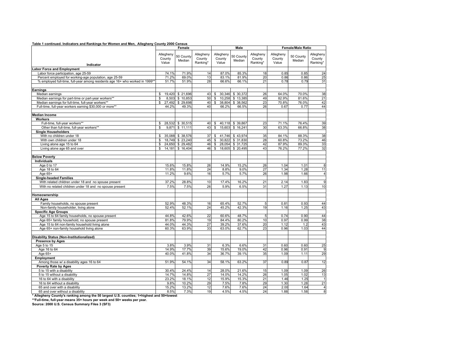|  |  |  | Table 1 continued. Indicators and Rankings for Women and Men, Allegheny County 2000 Census |  |  |
|--|--|--|--------------------------------------------------------------------------------------------|--|--|
|--|--|--|--------------------------------------------------------------------------------------------|--|--|

|                                                                             |                              | Female              |                                 |                              | Male                |                                 | <b>Female/Male Ratio</b>     |                     |                                 |  |
|-----------------------------------------------------------------------------|------------------------------|---------------------|---------------------------------|------------------------------|---------------------|---------------------------------|------------------------------|---------------------|---------------------------------|--|
| Indicator                                                                   | Allegheny<br>County<br>Value | 50 County<br>Median | Allegheny<br>County<br>Ranking* | Allegheny<br>County<br>Value | 50 County<br>Median | Allegheny<br>County<br>Ranking* | Allegheny<br>County<br>Value | 50 County<br>Median | Allegheny<br>County<br>Ranking* |  |
| <b>Labor Force and Employment</b>                                           |                              |                     |                                 |                              |                     |                                 |                              |                     |                                 |  |
| Labor force participation, age 25-59                                        | 74.1%                        | 71.9%               | 14                              | 87.0%                        | 85.3%               | 18                              | 0.85                         | 0.85                | 24                              |  |
| Percent employed for working-age population, age 25-59                      | 71.2%                        | 69.0%               | 13                              | 83.1%                        | 81.9%               | 20                              | 0.86                         | 0.86                | 25                              |  |
| % employed full-time, full-year among residents age 16+ who worked in 1999* | 51.7%                        | 51.9%               | 28                              | 66.6%                        | 66.1%               | 21                              | 0.78                         | 0.79                | 31                              |  |
|                                                                             |                              |                     |                                 |                              |                     |                                 |                              |                     |                                 |  |
| Earnings                                                                    |                              |                     |                                 |                              |                     |                                 |                              |                     |                                 |  |
| Median earnings                                                             | \$                           | 19,420 \$21,696     | 43                              | \$<br>30,346                 | \$ 30,372           | 26                              | 64.0%                        | 70.0%               | 38                              |  |
| Median earnings for part-time or part-year workers**                        | \$                           | 8,503 \$ 10,853     | 50                              | 10,258<br>$\mathbb{S}$       | \$13,385            | 49                              | 82.9%                        | 81.6%               | 21                              |  |
| Median earnings for full-time, full-year workers**                          | $\mathbb{S}$<br>27,492       | \$ 29,698           | 40                              | $\mathbb{S}$<br>38,804       | \$ 38,562           | 23                              | 70.8%                        | 76.0%               | 42                              |  |
| Full-time, full-year workers earning \$30,000 or more**                     | 44.2%                        | 49.3%               | 40                              | 66.2%                        | 66.5%               | 26                              | 0.67                         | 0.77                | 44                              |  |
| <b>Median Income</b>                                                        |                              |                     |                                 |                              |                     |                                 |                              |                     |                                 |  |
| Workers                                                                     |                              |                     |                                 |                              |                     |                                 |                              |                     |                                 |  |
| Full-time, full-year workers**                                              | \$                           | 28,532 \$ 30,515    | 40                              | \$                           | 40,118 \$39,867     | 23                              | 71.1%                        | 76.4%               | 39                              |  |
| Other than full-time, full-year workers**                                   | \$<br>9,871                  | \$11,111            | 43                              | $\$$<br>15,603               | \$16,241            | 30                              | 63.3%                        | 66.8%               | 38                              |  |
| <b>Single Householders</b>                                                  |                              |                     |                                 |                              |                     |                                 |                              |                     |                                 |  |
| With no children under 18                                                   | \$<br>35,088                 | \$ 38,576           | 37                              | \$<br>41,746                 | \$43,974            | 35                              | 84.1%                        | 88.3%               | 38                              |  |
| With own children under 18                                                  | \$                           | 18,749 \$23,240     | 45                              | \$<br>30,822                 | \$ 31,830           | 28                              | 60.8%                        | 73.2%               | 46                              |  |
| Living alone age 15 to 64                                                   | \$                           | 24,650 \$29,482     | 46                              | \$<br>28,054                 | \$ 31,725           | 42                              | 87.9%                        | 89.3%               | 33                              |  |
| Living alone age 65 and over                                                | \$                           | 14,181 \$ 16,404    | 46                              | \$                           | 18,605 \$20,495     | 43                              | 76.2%                        | 77.2%               | 32                              |  |
| <b>Below Poverty</b>                                                        |                              |                     |                                 |                              |                     |                                 |                              |                     |                                 |  |
| Individuals                                                                 |                              |                     |                                 |                              |                     |                                 |                              |                     |                                 |  |
| Age 0 to 17                                                                 | 15.6%                        | 15.8%               | 26                              | 14.9%                        | 15.2%               | 26                              | 1.04                         | 1.01                | 8                               |  |
| Age 18 to 64                                                                | 11.8%                        | 11.8%               | 24                              | 8.8%                         | 9.0%                | 27                              | 1.34                         | 1.28                | 11                              |  |
| Age 65+                                                                     | 11.2%                        | 9.6%                | 16                              | 5.7%                         | 5.7%                | 26                              | 1.98                         | 1.66                | $\overline{4}$                  |  |
| <b>Single-headed Families</b>                                               |                              |                     |                                 |                              |                     |                                 |                              |                     |                                 |  |
| With related children under 18 and no spouse present                        | 37.2%                        | 28.8%               | 10                              | 17.4%                        | 16.2%               | 21                              | 2.14                         | 1.83                | 9                               |  |
| With no related children under 18 and no spouse present                     | 7.5%                         | 7.5%                | 26                              | 5.9%                         | 6.5%                | 31                              | 1.27                         | 1.13                | 10                              |  |
| Homeownership                                                               |                              |                     |                                 |                              |                     |                                 |                              |                     |                                 |  |
| <b>All Ages</b>                                                             |                              |                     |                                 |                              |                     |                                 |                              |                     |                                 |  |
| Family households, no spouse present                                        | 52.9%                        | 48.3%               | 16                              | 65.4%                        | 52.7%               | 5                               | 0.81                         | 0.93                | 44                              |  |
| Non-family householder, living alone                                        | 52.4%                        | 52.1%               | 24                              | 45.2%                        | 42.3%               | 19                              | 1.16                         | 1.25                | 43                              |  |
| <b>Specific Age Groups</b>                                                  |                              |                     |                                 |                              |                     |                                 |                              |                     |                                 |  |
| Age 15 to 64 family households, no spouse present                           | 44.8%                        | 42.6%               | 22                              | 60.6%                        | 48.7%               | 5                               | 0.74                         | 0.90                | 44                              |  |
| Age 65+ family household, no spouse present                                 | 81.8%                        | 79.9%               | 19                              | 84.4%                        | 80.2%               | 10                              | 0.97                         | 0.99                | 38                              |  |
| Age 15 to 64 non-family household living alone                              | 44.0%                        | 44.3%               | 27                              | 39.2%                        | 37.6%               | 20                              | 1.12                         | 1.2                 | 43                              |  |
| Age 65+ non-family household living alone                                   | 60.3%                        | 63.9%               | 33                              | 63.0%                        | 62.7%               | 23                              | 0.96                         | 1.03                | 44                              |  |
| <b>Disability Status (Non-Institutionalized)</b>                            |                              |                     |                                 |                              |                     |                                 |                              |                     |                                 |  |
| <b>Presence by Ages</b>                                                     |                              |                     |                                 |                              |                     |                                 |                              |                     |                                 |  |
| Age 5 to 15                                                                 | 3.8%                         | 3.9%                | 31                              | 6.3%                         | 6.6%                | 31                              | 0.60                         | 0.60                | 25                              |  |
| Age 16 to 64                                                                | 14.9%                        | 17.7%               | 39                              | 15.6%                        | 19.0%               | 42                              | 0.96                         | 0.91                | 9                               |  |
| Age 65+                                                                     | 40.0%                        | 41.8%               | 34                              | 36.7%                        | 39.1%               | 35                              | 1.09                         | 1.11                | 29                              |  |
| Employment                                                                  |                              |                     |                                 |                              |                     |                                 |                              |                     |                                 |  |
| Among those w/ a disability ages 16 to 64                                   | 51.9%                        | 54.1%               | 34                              | 58.1%                        | 63.2%               | 37                              | 0.89                         | 0.87                | 12                              |  |
| Poverty Rate by Ages                                                        |                              |                     |                                 |                              |                     |                                 |                              |                     |                                 |  |
| 5 to 15 with a disability                                                   | 30.4%                        | 24.4%               | 14                              | 28.0%                        | 21.6%               | 15                              | 1.09                         | 1.09                | 26                              |  |
| 5 to 15 without a disability                                                | 14.7%                        | 14.8%               | 27                              | 14.0%                        | 14.2%               | 26                              | 1.05                         | 1.02                | 13                              |  |
| 16 to 64 with a disability                                                  | 23.2%                        | 18.1%               | 12                              | 15.9%                        | 15.3%               | 21                              | 1.46                         | 1.25                | $\mathbf{1}$                    |  |
| 16 to 64 without a disability                                               | 9.8%                         | 10.2%               | 29                              | 7.5%                         | 7.8%                | 29                              | 1.30                         | 1.28                | 21                              |  |
| 65 and over with a disability                                               | 15.2%                        | 13.2%               | 12                              | 7.6%                         | 7.6%                | 24                              | 2.00                         | 1.64                | $\overline{4}$                  |  |
| 65 and over without a disability                                            | 8.5%                         | 7.3%                | 19                              | 4.5%                         | 4.5%                | 24                              | 1.88                         | 1.58                | 8                               |  |

**\* Allegheny County's ranking among the 50 largest U.S. counties; 1=highest and 50=lowest**

**\*\*Full-time, full-year means 35+ hours per week and 50+ weeks per year. Source: 2000 U.S. Census Summary Files 3 (SF3)**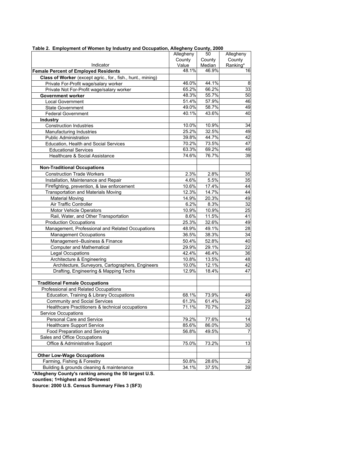|                                                             | Allegheny           | 50     | Allegheny       |
|-------------------------------------------------------------|---------------------|--------|-----------------|
|                                                             | County              | County | County          |
| Indicator                                                   | Value               | Median | Ranking*        |
| <b>Female Percent of Employed Residents</b>                 | 48.1%               | 46.9%  | 16              |
| Class of Worker (except agric., for., fish., hunt., mining) |                     |        |                 |
| Private For-Profit wage/salary worker                       | 46.0%               | 44.1%  | 8               |
| Private Not For-Profit wage/salary worker                   | 65.2%               | 66.2%  | 33              |
| <b>Government worker</b>                                    | 48.3%               | 55.7%  | 50              |
| <b>Local Government</b>                                     | 51.4%               | 57.9%  | 46              |
| <b>State Government</b>                                     | 49.0%               | 58.7%  | 49              |
| <b>Federal Government</b>                                   | $40.\overline{1\%}$ | 43.6%  | 40              |
| <b>Industry</b>                                             |                     |        |                 |
| <b>Construction Industries</b>                              | 10.0%               | 10.9%  | 34              |
| Manufacturing Industries                                    | 25.2%               | 32.5%  | 49              |
| <b>Public Administration</b>                                | 39.8%               | 44.7%  | 42              |
| Education, Health and Social Services                       | 70.2%               | 73.5%  | 47              |
| <b>Educational Services</b>                                 | 63.3%               | 69.2%  | 49              |
| Healthcare & Social Assistance                              | 74.6%               | 76.7%  | $\overline{39}$ |
|                                                             |                     |        |                 |
| <b>Non-Traditional Occupations</b>                          |                     |        |                 |
| <b>Construction Trade Workers</b>                           | 2.3%                | 2.8%   | 35              |
| Installation, Maintenance and Repair                        | 4.6%                | 5.5%   | 35              |
| Firefighting, prevention, & law enforcement                 | 10.6%               | 17.4%  | 44              |
| <b>Transportation and Materials Moving</b>                  | 12.3%               | 14.7%  | 44              |
| <b>Material Moving</b>                                      | 14.9%               | 20.3%  | 49              |
| Air Traffic Controller                                      | 6.2%                | 8.3%   | $\overline{32}$ |
| Motor Vehicle Operators                                     | 10.9%               | 10.9%  | 25              |
| Rail, Water, and Other Transportation                       | 8.6%                | 11.5%  | 41              |
| <b>Production Occupations</b>                               | 25.3%               | 32.6%  | 49              |
| Management, Professional and Related Occupations            | 48.9%               | 49.1%  | 28              |
| <b>Management Occupations</b>                               | 36.5%               | 38.3%  | 34              |
| Management--Business & Finance                              | 50.4%               | 52.8%  | 40              |
| <b>Computer and Mathematical</b>                            | 29.9%               | 29.1%  | 22              |
| Legal Occupations                                           | 42.4%               | 46.4%  | 36              |
| Architecture & Engineering                                  | 10.8%               | 13.5%  | 48              |
| Architecture, Surveyors, Cartographers, Engineers           | 10.0%               | 12.1%  | 42              |
| Drafting, Engineering & Mapping Techs                       | 12.9%               | 18.4%  | 47              |
|                                                             |                     |        |                 |
| <b>Traditional Female Occupations</b>                       |                     |        |                 |
| Professional and Related Occupations                        |                     |        |                 |
| Education, Training & Library Occupations                   | 68.1%               | 73.9%  | 49              |
| <b>Community and Social Services</b>                        | 61.3%               | 61.4%  | 29              |
| Healthcare Practitioners & technical occupations            | 71.1%               | 70.7%  | 22              |
| Service Occupations                                         |                     |        |                 |
| Personal Care and Service                                   | 79.2%               | 77.6%  | 14              |
| <b>Healthcare Support Service</b>                           | 85.6%               | 86.0%  | 30              |
| Food Preparation and Serving                                | 56.8%               | 49.5%  | 7               |
| Sales and Office Occupations                                |                     |        |                 |
| Office & Administrative Support                             | 75.0%               | 73.2%  | 13              |
|                                                             |                     |        |                 |
| <b>Other Low-Wage Occupations</b>                           |                     |        |                 |
| Farming, Fishing & Forestry                                 | 50.8%               | 28.6%  | $\overline{2}$  |
| Building & grounds cleaning & maintenance                   | 34.1%               | 37.5%  | 39              |

#### **Table 2. Employment of Women by Industry and Occupation, Allegheny County, 2000**

**\*Allegheny County's ranking among the 50 largest U.S.** 

**counties; 1=highest and 50=lowest**

**Source: 2000 U.S. Census Summary Files 3 (SF3)**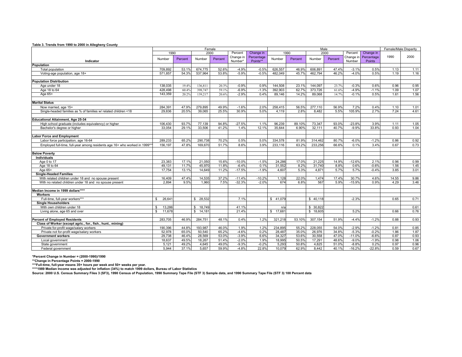| rable 3. Trends from 1990 to 2000 in Allegneny County                      |                        |         |           |         |                      |                        |           |         |           |         |                     |                      |       |                       |  |
|----------------------------------------------------------------------------|------------------------|---------|-----------|---------|----------------------|------------------------|-----------|---------|-----------|---------|---------------------|----------------------|-------|-----------------------|--|
|                                                                            |                        |         |           | Female  |                      |                        |           |         |           | Male    |                     |                      |       | Female/Male Disparity |  |
|                                                                            | 1990                   |         | 2000      |         | Percent              | Change in              |           | 1990    |           | 2000    | Percent             | Change in            |       |                       |  |
| Indicator                                                                  | Number                 | Percent | Number    | Percent | Change in<br>Number* | Percentage<br>Points** | Number    | Percent | Number    | Percent | Change in<br>Number | Percentage<br>Points | 1990  | 2000                  |  |
| Population                                                                 |                        |         |           |         |                      |                        |           |         |           |         |                     |                      |       |                       |  |
| <b>Total population</b>                                                    | 709.892                | 53.1%   | 674.775   | 52.6%   | $-4.9%$              | $-0.5%$                | 626.557   | 46.9%   | 606.891   | 47.4%   | $-3.1%$             | 0.5%                 | 1.13  | 1.11                  |  |
| Voting-age population, age 18+                                             | 571.857                | 54.3%   | 537.964   | 53.8%   | $-5.9%$              | $-0.5%$                | 482.049   | 45.7%   | 462.794   | 46.2%   | $-4.0%$             | 0.5%                 | 1.19  | 1.16                  |  |
| <b>Population Distribution</b>                                             |                        |         |           |         |                      |                        |           |         |           |         |                     |                      |       |                       |  |
| Age under 18                                                               | 138.035                | 19.4%   | 136,811   | 20.3%   | $-0.9%$              | 0.9%                   | 144.508   | 23.1%   | 144.097   | 23.7%   | $-0.3%$             | 0.6%                 | 0.96  | 0.95                  |  |
| Age 18 to 64                                                               | 428,498                | 60.4%   | 398,747   | 59.1%   | $-6.9%$              | $-1.3%$                | 392.903   | 62.7%   | 373,726   | 61.6%   | $-4.9%$             | $-1.1%$              | 1.09  | 1.07                  |  |
| Age 65+                                                                    | 143,359                | 20.2%   | 139,217   | 20.6%   | $-2.9%$              | 0.4%                   | 89.146    | 14.2%   | 89.068    | 14.7%   | $-0.1%$             | 0.5%                 | 1.61  | 1.56                  |  |
| <b>Marital Status</b>                                                      |                        |         |           |         |                      |                        |           |         |           |         |                     |                      |       |                       |  |
| Now married, age 15+                                                       | 284.391                | 47.9%   | 279.895   | 49.9%   | $-1.6%$              | 2.0%                   | 258.415   | 56.5%   | 277.110   | 56.9%   | 7.2%                | 0.4%                 | 1.10  | 1.01                  |  |
| Single-headed families as % of families w/ related children <18            | 29.836                 | 20.5%   | 39,065    | 25.5%   | 30.9%                | 5.0%                   | 4,119     | 2.8%    | 8.482     | 5.5%    | 105.9%              | 2.7%                 | 7.24  | 4.61                  |  |
| Educational Attainment, Age 25-34                                          |                        |         |           |         |                      |                        |           |         |           |         |                     |                      |       |                       |  |
| High school graduate (includes equivalency) or higher                      | 106,430                | 93.7%   | 77,139    | 94.8%   | $-27.5%$             | 1.1%                   | 96.239    | 89.10%  | 73,347    | 93.0%   | $-23.8%$            | 3.9%                 | 1.11  | 1.05                  |  |
| Bachelor's degree or higher                                                | 33.054                 | 29.1%   | 33,506    | 41.2%   | 1.4%                 | 12.1%                  | 35.644    | 6.90%   | 32,111    | 40.7%   | $-9.9%$             | 33.8%                | 0.93  | 1.04                  |  |
| <b>Labor Force and Employment</b>                                          |                        |         |           |         |                      |                        |           |         |           |         |                     |                      |       |                       |  |
| Labor force participation, age 16-64                                       | 289,233                | 65.2%   | 290.738   | 70.2%   | 0.5%                 | 5.0%                   | 334.578   | 81.9%   | 314.462   | 80.7%   | $-6.0%$             | $-1.2%$              | 0.86  | 0.92                  |  |
| Employed full-time, full-year among residents age 16+ who worked in 1999*' | 156.197                | 47.8%   | 169.670   | 51.7%   | 8.6%                 | 3.9%                   | 233,116   | 63.2%   | 233,256   | 66.6%   | 0.1%                | 3.4%                 | 0.67  | 0.73                  |  |
|                                                                            |                        |         |           |         |                      |                        |           |         |           |         |                     |                      |       |                       |  |
| <b>Below Poverty</b><br>Individuals                                        |                        |         |           |         |                      |                        |           |         |           |         |                     |                      |       |                       |  |
| Age 0 to 17                                                                | 23,383                 | 17.1%   | 21,050    | 15.6%   | $-10.0%$             | $-1.5%$                | 24,286    | 17.0%   | 21,225    | 14.9%   | $-12.6%$            | 2.1%                 | 0.96  | 0.99                  |  |
| Age 18 to 64                                                               | 49,131                 | 11.7%   | 45,970    | 11.8%   | $-6.4%$              | 0.1%                   | 31,552    | 8.2%    | 31,740    | 8.8%    | 0.6%                | $-0.6%$              | 1.56  | 1.45                  |  |
| Age 65+                                                                    | 17,754                 | 13.1%   | 14,649    | 11.2%   | $-17.5%$             | $-1.9%$                | 4.607     | 5.3%    | 4.871     | 5.7%    | 5.7%                | $-0.4%$              | 3.85  | 3.01                  |  |
| <b>Single-Headed Families</b>                                              |                        |         |           |         |                      |                        |           |         |           |         |                     |                      |       |                       |  |
| With related children under 18 and no spouse present                       | 16.409                 | 47.4%   | 14,535    | 37.2%   | $-11.4%$             | $-10.2%$               | 1.128     | 22.0%   | 1.474     | 17.4%   | 30.7%               | 4.6%                 | 14.55 | 9.86                  |  |
| With no related children under 18 and no spouse present                    | 2.894                  | 9.5%    | 1.960     | 7.5%    | $-32.3%$             | $-2.0%$                | 674       | 6.8%    | 567       | 5.9%    | $-15.9%$            | 0.9%                 | 4.29  | 3.46                  |  |
| Median Income in 1999 dollars****                                          |                        |         |           |         |                      |                        |           |         |           |         |                     |                      |       |                       |  |
| Workers                                                                    |                        |         |           |         |                      |                        |           |         |           |         |                     |                      |       |                       |  |
| Full-time, full-year workers***                                            | 26.641<br>$\mathbb{S}$ |         | \$ 28.532 |         | 7.1%                 |                        | \$41,079  |         | \$40,118  |         | $-2.3%$             |                      | 0.65  | 0.71                  |  |
| <b>Single Householders</b>                                                 |                        |         |           |         |                      |                        |           |         |           |         |                     |                      |       |                       |  |
| With own children under 18                                                 | 13.286<br>s            |         | \$ 18,749 |         | 41.1%                |                        | n/a       |         | \$ 30.822 |         |                     |                      |       | 0.61                  |  |
| Living alone, age 65 and over                                              | s.<br>11.678           |         | \$14,181  |         | 21.4%                |                        | \$ 17.681 |         | \$18.605  |         | 5.2%                |                      | 0.66  | 0.76                  |  |
| <b>Percent of Employed Residents</b>                                       | 283,705                | 46.9%   | 284,751   | 48.1%   | 0.4%                 | 1.2%                   | 321.218   | 53.10%  | 307,154   | 51.9%   | $-4.4%$             | $-1.2%$              | 0.88  | 0.93                  |  |
| Class of Worker (except agric., for., fish., hunt., mining)                |                        |         |           |         |                      |                        |           |         |           |         |                     |                      |       |                       |  |
| Private for-profit wage/salary workers                                     | 190,396                | 44.8%   | 193,987   | 46.0%   | 1.9%                 | 1.2%                   | 234,895   | 55.2%   | 228,055   | 54.0%   | $-2.9%$             | $-1.2%$              | 0.81  | 0.85                  |  |
| Private not for-profit wage/salary workers                                 | 52.978                 | 65.0%   | 50.540    | 65.2%   | $-4.6%$              | 0.2%                   | 28.487    | 35.0%   | 26.976    | 34.8%   | $-5.3%$             | $-0.2%$              | 1.86  | 1.87                  |  |
| <b>Government workers</b>                                                  | 29,738                 | 46.4%   | 28,569    | 53.0%   | $-3.9%$              | 6.6%                   | 34,327    | 53.6%   | 30,558    | 47.0%   | $-11.0%$            | $-6.6%$              | 0.87  | 0.93                  |  |
| Local government                                                           | 18.637                 | 49.5%   | 18,267    | 51.4%   | $-2.0%$              | 1.9%                   | 18,995    | 50.5%   | 17,291    | 48.6%   | $-9.0%$             | $-1.9%$              | 0.98  | 1.06                  |  |
| State government                                                           | 5.121                  | 49.2%   | 4.645     | 49.0%   | $-9.3%$              | $-0.2%$                | 5.293     | 50.8%   | 4.825     | 51.0%   | $-8.8%$             | 0.2%                 | 0.97  | 0.96                  |  |
| Federal government                                                         | 5.944                  | 37.1%   | 5.657     | 59.9%   | $-4.8%$              | 22.8%                  | 10.079    | 62.9%   | 8.442     | 40.1%   | $-16.2%$            | $-22.8%$             | 0.59  | 0.67                  |  |

**Table 3. Trends from 1990 to 2000 in Allegheny County**

**\*Percent Change in Number = (2000-1990)/1990 \*\*Change in Percentage Points = 2000-1990**

\*\*\*Full-time, full-year means 35+ hours per week and 50+ weeks per year.<br>\*\*\*\*1989 Median Income was adjusted for inflation (34%) to match 1999 dollars, Bureau of Labor Statistics<br>Source: 2000 U.S. Census Summary Files 3 (S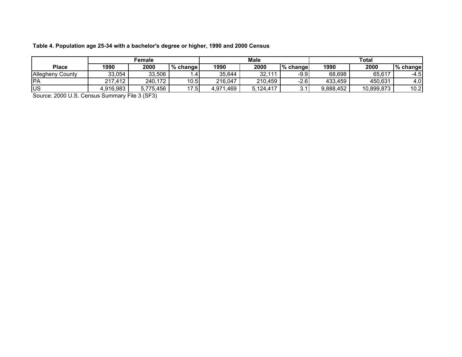#### **Table 4. Population age 25-34 with a bachelor's degree or higher, 1990 and 2000 Census**

|                         |           | Female    |            |           | <b>Male</b> |          | <b>Total</b> |            |          |  |  |
|-------------------------|-----------|-----------|------------|-----------|-------------|----------|--------------|------------|----------|--|--|
| <b>Place</b>            | 1990      | 2000      | % change   | 1990      | 2000        | % change | 1990         | 2000       | % change |  |  |
| <b>Allegheny County</b> | 33,054    | 33,506    |            | 35.644    | 32,111      | $-9.9$   | 68,698       | 65,617     | $-4.5$   |  |  |
| IPA                     | 217,412   | 240,172   | 10.5       | 216,047   | 210,459     | $-2.6$   | 433,459      | 450,631    | 4.0      |  |  |
| lus                     | 4,916,983 | 5,775,456 | 17<br>7.51 | 4,971,469 | 5,124,417   | v.       | 9,888,452    | 10,899,873 | 10.2     |  |  |

Source: 2000 U.S. Census Summary File 3 (SF3)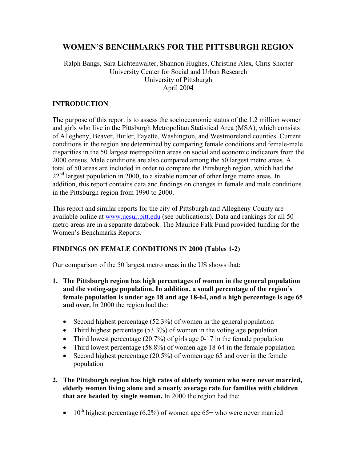# **WOMEN'S BENCHMARKS FOR THE PITTSBURGH REGION**

#### Ralph Bangs, Sara Lichtenwalter, Shannon Hughes, Christine Alex, Chris Shorter University Center for Social and Urban Research University of Pittsburgh April 2004

#### **INTRODUCTION**

The purpose of this report is to assess the socioeconomic status of the 1.2 million women and girls who live in the Pittsburgh Metropolitan Statistical Area (MSA), which consists of Allegheny, Beaver, Butler, Fayette, Washington, and Westmoreland counties. Current conditions in the region are determined by comparing female conditions and female-male disparities in the 50 largest metropolitan areas on social and economic indicators from the 2000 census. Male conditions are also compared among the 50 largest metro areas. A total of 50 areas are included in order to compare the Pittsburgh region, which had the  $22<sup>nd</sup>$  largest population in 2000, to a sizable number of other large metro areas. In addition, this report contains data and findings on changes in female and male conditions in the Pittsburgh region from 1990 to 2000.

This report and similar reports for the city of Pittsburgh and Allegheny County are available online at www.ucsur.pitt.edu (see publications). Data and rankings for all 50 metro areas are in a separate databook. The Maurice Falk Fund provided funding for the Women's Benchmarks Reports.

#### **FINDINGS ON FEMALE CONDITIONS IN 2000 (Tables 1-2)**

Our comparison of the 50 largest metro areas in the US shows that:

- **1. The Pittsburgh region has high percentages of women in the general population and the voting-age population. In addition, a small percentage of the region's female population is under age 18 and age 18-64, and a high percentage is age 65 and over.** In 2000 the region had the:
	- Second highest percentage  $(52.3\%)$  of women in the general population
	- Third highest percentage (53.3%) of women in the voting age population
	- Third lowest percentage (20.7%) of girls age 0-17 in the female population
	- Third lowest percentage (58.8%) of women age 18-64 in the female population
	- Second highest percentage (20.5%) of women age 65 and over in the female population
- **2. The Pittsburgh region has high rates of elderly women who were never married, elderly women living alone and a nearly average rate for families with children that are headed by single women.** In 2000 the region had the:
	- 10<sup>th</sup> highest percentage (6.2%) of women age 65+ who were never married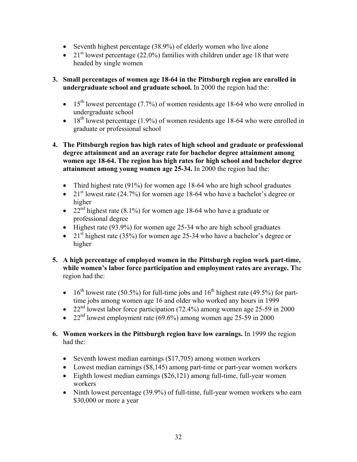- Seventh highest percentage (38.9%) of elderly women who live alone
- 21<sup>st</sup> lowest percentage (22.0%) families with children under age 18 that were headed by single women
- **3. Small percentages of women age 18-64 in the Pittsburgh region are enrolled in undergraduate school and graduate school.** In 2000 the region had the:
	- 15<sup>th</sup> lowest percentage (7.7%) of women residents age 18-64 who were enrolled in undergraduate school
	- 18<sup>th</sup> lowest percentage (1.9%) of women residents age 18-64 who were enrolled in graduate or professional school
- **4. The Pittsburgh region has high rates of high school and graduate or professional degree attainment and an average rate for bachelor degree attainment among women age 18-64. The region has high rates for high school and bachelor degree attainment among young women age 25-34.** In 2000 the region had the:
	- Third highest rate (91%) for women age 18-64 who are high school graduates
	- 21<sup>st</sup> lowest rate (24.7%) for women age 18-64 who have a bachelor's degree or higher
	- 22<sup>nd</sup> highest rate (8.1%) for women age 18-64 who have a graduate or professional degree
	- Highest rate (93.9%) for women age 25-34 who are high school graduates
	- 21<sup>st</sup> highest rate (35%) for women age 25-34 who have a bachelor's degree or higher
- **5. A high percentage of employed women in the Pittsburgh region work part-time, while women's labor force participation and employment rates are average. T**he region had the:
	- 16<sup>th</sup> lowest rate (50.5%) for full-time jobs and  $16^{th}$  highest rate (49.5%) for parttime jobs among women age 16 and older who worked any hours in 1999
	- 22<sup>nd</sup> lowest labor force participation (72.4%) among women age 25-59 in 2000
	- 22<sup>nd</sup> lowest employment rate  $(69.6\%)$  among women age 25-59 in 2000
- **6. Women workers in the Pittsburgh region have low earnings.** In 1999 the region had the:
	- Seventh lowest median earnings (\$17,705) among women workers
	- Lowest median earnings (\$8,145) among part-time or part-year women workers
	- Eighth lowest median earnings (\$26,121) among full-time, full-year women workers
	- Ninth lowest percentage (39.9%) of full-time, full-year women workers who earn \$30,000 or more a year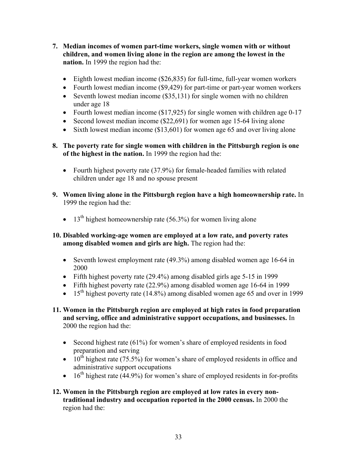- **7. Median incomes of women part-time workers, single women with or without children, and women living alone in the region are among the lowest in the nation.** In 1999 the region had the:
	- Eighth lowest median income (\$26,835) for full-time, full-year women workers
	- Fourth lowest median income (\$9,429) for part-time or part-year women workers
	- Seventh lowest median income (\$35,131) for single women with no children under age 18
	- Fourth lowest median income (\$17,925) for single women with children age 0-17
	- Second lowest median income (\$22,691) for women age 15-64 living alone
	- Sixth lowest median income (\$13,601) for women age 65 and over living alone
- **8. The poverty rate for single women with children in the Pittsburgh region is one of the highest in the nation.** In 1999 the region had the:
	- Fourth highest poverty rate (37.9%) for female-headed families with related children under age 18 and no spouse present
- **9. Women living alone in the Pittsburgh region have a high homeownership rate.** In 1999 the region had the:
	- 13<sup>th</sup> highest homeownership rate (56.3%) for women living alone

#### **10. Disabled working-age women are employed at a low rate, and poverty rates among disabled women and girls are high.** The region had the:

- Seventh lowest employment rate (49.3%) among disabled women age 16-64 in 2000
- Fifth highest poverty rate (29.4%) among disabled girls age 5-15 in 1999
- Fifth highest poverty rate (22.9%) among disabled women age 16-64 in 1999
- 15<sup>th</sup> highest poverty rate (14.8%) among disabled women age 65 and over in 1999
- **11. Women in the Pittsburgh region are employed at high rates in food preparation and serving, office and administrative support occupations, and businesses.** In 2000 the region had the:
	- Second highest rate (61%) for women's share of employed residents in food preparation and serving
	- $10^{th}$  highest rate (75.5%) for women's share of employed residents in office and administrative support occupations
	- $\bullet$  16<sup>th</sup> highest rate (44.9%) for women's share of employed residents in for-profits
- **12. Women in the Pittsburgh region are employed at low rates in every nontraditional industry and occupation reported in the 2000 census.** In 2000 the region had the: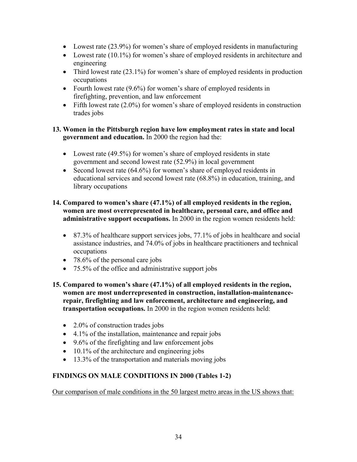- Lowest rate (23.9%) for women's share of employed residents in manufacturing
- Lowest rate (10.1%) for women's share of employed residents in architecture and engineering
- Third lowest rate  $(23.1\%)$  for women's share of employed residents in production occupations
- Fourth lowest rate (9.6%) for women's share of employed residents in firefighting, prevention, and law enforcement
- Fifth lowest rate  $(2.0\%)$  for women's share of employed residents in construction trades jobs

#### **13. Women in the Pittsburgh region have low employment rates in state and local government and education.** In 2000 the region had the:

- Lowest rate (49.5%) for women's share of employed residents in state government and second lowest rate (52.9%) in local government
- Second lowest rate (64.6%) for women's share of employed residents in educational services and second lowest rate (68.8%) in education, training, and library occupations

#### **14. Compared to women's share (47.1%) of all employed residents in the region, women are most overrepresented in healthcare, personal care, and office and administrative support occupations.** In 2000 in the region women residents held:

- 87.3% of healthcare support services jobs, 77.1% of jobs in healthcare and social assistance industries, and 74.0% of jobs in healthcare practitioners and technical occupations
- 78.6% of the personal care jobs
- 75.5% of the office and administrative support jobs
- **15. Compared to women's share (47.1%) of all employed residents in the region, women are most underrepresented in construction, installation-maintenancerepair, firefighting and law enforcement, architecture and engineering, and transportation occupations.** In 2000 in the region women residents held:
	- 2.0% of construction trades jobs
	- 4.1% of the installation, maintenance and repair jobs
	- 9.6% of the firefighting and law enforcement jobs
	- 10.1% of the architecture and engineering jobs
	- 13.3% of the transportation and materials moving jobs

## **FINDINGS ON MALE CONDITIONS IN 2000 (Tables 1-2)**

Our comparison of male conditions in the 50 largest metro areas in the US shows that: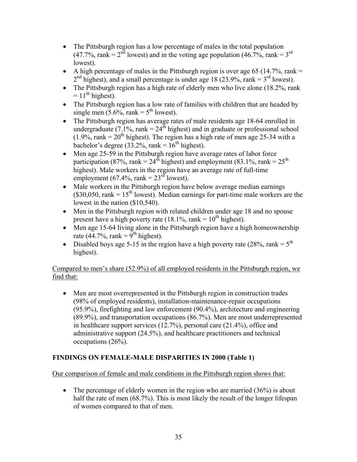- The Pittsburgh region has a low percentage of males in the total population  $(47.7\%$ , rank =  $2<sup>nd</sup>$  lowest) and in the voting age population  $(46.7\%$ , rank =  $3<sup>rd</sup>$ lowest).
- A high percentage of males in the Pittsburgh region is over age 65 (14.7%, rank  $=$  $2<sup>nd</sup>$  highest), and a small percentage is under age 18 (23.9%, rank = 3<sup>rd</sup> lowest).
- The Pittsburgh region has a high rate of elderly men who live alone (18.2%, rank  $= 11<sup>th</sup>$  highest).
- The Pittsburgh region has a low rate of families with children that are headed by single men  $(5.6\%$ , rank =  $5<sup>th</sup>$  lowest).
- The Pittsburgh region has average rates of male residents age 18-64 enrolled in undergraduate (7.1%, rank =  $24^{\text{th}}$  highest) and in graduate or professional school  $(1.9\%$ , rank =  $20<sup>th</sup>$  highest). The region has a high rate of men age 25-34 with a bachelor's degree (33.2%, rank =  $16<sup>th</sup>$  highest).
- Men age 25-59 in the Pittsburgh region have average rates of labor force participation (87%, rank =  $24^{th}$  highest) and employment (83.1%, rank =  $25^{th}$ ) highest). Male workers in the region have an average rate of full-time employment (67.4%, rank =  $23<sup>rd</sup>$  lowest).
- Male workers in the Pittsburgh region have below average median earnings (\$30,050, rank =  $15<sup>th</sup>$  lowest). Median earnings for part-time male workers are the lowest in the nation (\$10,540).
- Men in the Pittsburgh region with related children under age 18 and no spouse present have a high poverty rate (18.1%, rank =  $10^{th}$  highest).
- Men age 15-64 living alone in the Pittsburgh region have a high homeownership rate (44.7%, rank =  $\frac{9^{th}}{9^{th}}$  highest).
- Disabled boys age 5-15 in the region have a high poverty rate (28%, rank =  $5<sup>th</sup>$ ) highest).

## Compared to men's share (52.9%) of all employed residents in the Pittsburgh region, we find that:

• Men are most overrepresented in the Pittsburgh region in construction trades (98% of employed residents), installation-maintenance-repair occupations (95.9%), firefighting and law enforcement (90.4%), architecture and engineering (89.9%), and transportation occupations (86.7%). Men are most underrepresented in healthcare support services (12.7%), personal care (21.4%), office and administrative support (24.5%), and healthcare practitioners and technical occupations (26%).

## **FINDINGS ON FEMALE-MALE DISPARITIES IN 2000 (Table 1)**

Our comparison of female and male conditions in the Pittsburgh region shows that:

• The percentage of elderly women in the region who are married  $(36%)$  is about half the rate of men (68.7%). This is most likely the result of the longer lifespan of women compared to that of men.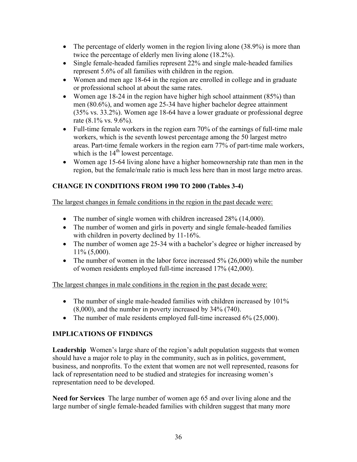- The percentage of elderly women in the region living alone  $(38.9\%)$  is more than twice the percentage of elderly men living alone (18.2%).
- Single female-headed families represent 22% and single male-headed families represent 5.6% of all families with children in the region.
- Women and men age 18-64 in the region are enrolled in college and in graduate or professional school at about the same rates.
- Women age 18-24 in the region have higher high school attainment (85%) than men (80.6%), and women age 25-34 have higher bachelor degree attainment (35% vs. 33.2%). Women age 18-64 have a lower graduate or professional degree rate (8.1% vs. 9.6%).
- Full-time female workers in the region earn 70% of the earnings of full-time male workers, which is the seventh lowest percentage among the 50 largest metro areas. Part-time female workers in the region earn 77% of part-time male workers, which is the  $14<sup>th</sup>$  lowest percentage.
- Women age 15-64 living alone have a higher homeownership rate than men in the region, but the female/male ratio is much less here than in most large metro areas.

## **CHANGE IN CONDITIONS FROM 1990 TO 2000 (Tables 3-4)**

The largest changes in female conditions in the region in the past decade were:

- The number of single women with children increased 28% (14,000).
- The number of women and girls in poverty and single female-headed families with children in poverty declined by 11-16%.
- The number of women age 25-34 with a bachelor's degree or higher increased by 11% (5,000).
- The number of women in the labor force increased 5% (26,000) while the number of women residents employed full-time increased 17% (42,000).

The largest changes in male conditions in the region in the past decade were:

- The number of single male-headed families with children increased by 101% (8,000), and the number in poverty increased by 34% (740).
- The number of male residents employed full-time increased 6% (25,000).

## **IMPLICATIONS OF FINDINGS**

**Leadership** Women's large share of the region's adult population suggests that women should have a major role to play in the community, such as in politics, government, business, and nonprofits. To the extent that women are not well represented, reasons for lack of representation need to be studied and strategies for increasing women's representation need to be developed.

**Need for Services** The large number of women age 65 and over living alone and the large number of single female-headed families with children suggest that many more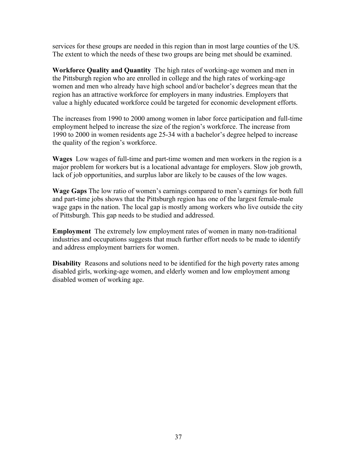services for these groups are needed in this region than in most large counties of the US. The extent to which the needs of these two groups are being met should be examined.

**Workforce Quality and Quantity** The high rates of working-age women and men in the Pittsburgh region who are enrolled in college and the high rates of working-age women and men who already have high school and/or bachelor's degrees mean that the region has an attractive workforce for employers in many industries. Employers that value a highly educated workforce could be targeted for economic development efforts.

The increases from 1990 to 2000 among women in labor force participation and full-time employment helped to increase the size of the region's workforce. The increase from 1990 to 2000 in women residents age 25-34 with a bachelor's degree helped to increase the quality of the region's workforce.

**Wages** Low wages of full-time and part-time women and men workers in the region is a major problem for workers but is a locational advantage for employers. Slow job growth, lack of job opportunities, and surplus labor are likely to be causes of the low wages.

**Wage Gaps** The low ratio of women's earnings compared to men's earnings for both full and part-time jobs shows that the Pittsburgh region has one of the largest female-male wage gaps in the nation. The local gap is mostly among workers who live outside the city of Pittsburgh. This gap needs to be studied and addressed.

**Employment** The extremely low employment rates of women in many non-traditional industries and occupations suggests that much further effort needs to be made to identify and address employment barriers for women.

**Disability** Reasons and solutions need to be identified for the high poverty rates among disabled girls, working-age women, and elderly women and low employment among disabled women of working age.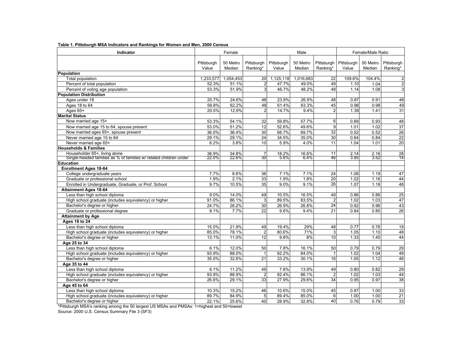| Indicator                                                         |                     | Female             |                        |                     | Male               |                                   | Female/Male Ratio   |                    |                        |  |
|-------------------------------------------------------------------|---------------------|--------------------|------------------------|---------------------|--------------------|-----------------------------------|---------------------|--------------------|------------------------|--|
|                                                                   | Pittsburgh<br>Value | 50 Metro<br>Median | Pittsburgh<br>Ranking* | Pittsburgh<br>Value | 50 Metro<br>Median | Pittsburgh<br>Ranking*            | Pittsburgh<br>Value | 50 Metro<br>Median | Pittsburgh<br>Ranking* |  |
| Population                                                        |                     |                    |                        |                     |                    |                                   |                     |                    |                        |  |
| Total population                                                  | 1,233,577           | 1,054,453          | 20                     | 1,125,118           | 1,016,683          | 22                                | 109.6%              | 104.4%             | $\overline{a}$         |  |
| Percent of total population                                       | 52.3%               | 51.1%              | $\overline{2}$         | 47.7%               | 49.0%              | 49                                | 1.10                | 1.04               | $\overline{2}$         |  |
| Percent of voting age population                                  | 53.3%               | 51.9%              | 3                      | 46.7%               | 48.2%              | 48                                | 1.14                | 1.08               | 3                      |  |
| <b>Population Distribution</b>                                    |                     |                    |                        |                     |                    |                                   |                     |                    |                        |  |
| Ages under 18                                                     | 20.7%               | 24.6%              | 48                     | 23.9%               | 26.9%              | 48                                | 0.87                | 0.91               | 48                     |  |
| Ages 18 to 64                                                     | 58.8%               | 62.2%              | 48                     | 61.4%               | 63.3%              | 45                                | 0.96                | 0.98               | 49                     |  |
| Ages 65+                                                          | 20.5%               | 12.9%              | $\overline{2}$         | 14.7%               | 9.4%               | $\overline{2}$                    | 1.39                | 1.41               | 31                     |  |
| <b>Marital Status</b>                                             |                     |                    |                        |                     |                    |                                   |                     |                    |                        |  |
| Now married age 15+                                               | 53.3%               | 54.1%              | 32                     | 59.8%               | 57.7%              | 6                                 | 0.89                | 0.93               | 48                     |  |
| Now married age 15 to 64, spouse present                          | 53.0%               | 51.2%              | 12                     | 52.6%               | 49.6%              | 9                                 | 1.01                | 1.02               | $37\,$                 |  |
| Now married ages 65+, spouse present                              | 36.0%               | 36.4%              | 30                     | 68.7%               | 69.7%              | 32                                | 0.52                | 0.52               | 26                     |  |
| Never married age 15 to 64                                        | 29.1%               | 29.1%              | 24                     | 34.5%               | 35.0%              | 30                                | 0.84                | 0.84               | 22                     |  |
| Never married age 65+                                             | 6.2%                | 3.8%               | 10                     | 5.9%                | 4.0%               | 11                                | 1.04                | 1.01               | 20                     |  |
| <b>Households &amp; Families</b>                                  |                     |                    |                        |                     |                    |                                   |                     |                    |                        |  |
| Householder 65+, living alone                                     | 38.9%               | 34.8%              | $\overline{7}$         | 18.2%               | 16.6%              | 11                                | 2.14                | 2.16               | $\overline{28}$        |  |
| Single-headed families as % of families w/ related children under | 22.0%               | 22.6%              | 30                     | 5.6%                | 6.4%               | 46                                | 3.95                | 3.52               | 14                     |  |
| <b>Education</b>                                                  |                     |                    |                        |                     |                    |                                   |                     |                    |                        |  |
| <b>Enrollment Ages 18-64</b>                                      |                     |                    |                        |                     |                    |                                   |                     |                    |                        |  |
| College undergraduate years                                       | 7.7%                | 8.6%               | 36                     | 7.1%                | 7.1%               | 24                                | 1.08                | 1.19               | 47                     |  |
| Graduate or professional school                                   | 1.9%                | 2.1%               | 33                     | 1.9%                | 1.8%               | $\overline{20}$                   | 1.02                | 1.16               | 44                     |  |
| Enrolled in Undergraduate, Graduate, or Prof. School              | 9.7%                | 10.5%              | 35                     | 9.0%                | 9.1%               | 26                                | 1.07                | 1.18               | 48                     |  |
| <b>Attainment Ages 18-64</b>                                      |                     |                    |                        |                     |                    |                                   |                     |                    |                        |  |
| Less than high school diploma                                     | 9.0%                | 14.0%              | 49                     | 10.5%               | 16.5%              | 49                                | 0.86                | 0.86               | 25                     |  |
| High school graduate (includes equivalency) or higher             | 91.0%               | 86.1%              | 3                      | 89.5%               | 83.5%              | $\overline{2}$                    | 1.02                | 1.03               | 47                     |  |
| Bachelor's degree or higher                                       | 24.7%               | 26.2%              | 30                     | 26.9%               | 26.8%              | 24                                | 0.92                | 0.96               | 43                     |  |
| Graduate or professional degree                                   | 8.1%                | 7.7%               | 22                     | 9.6%                | 9.4%               | 21                                | 0.84                | 0.85               | 26                     |  |
| <b>Attainment by Age</b>                                          |                     |                    |                        |                     |                    |                                   |                     |                    |                        |  |
| <b>Ages 18 to 24</b>                                              |                     |                    |                        |                     |                    |                                   |                     |                    |                        |  |
| Less than high school diploma                                     | 15.0%               | 21.9%              | 49                     | 19.4%               | 29%                | 48                                | 0.77                | 0.76               | $\overline{19}$        |  |
| High school graduate (includes equivalency) or higher             | 85.0%               | 78.1%              | $\overline{2}$         | 80.6%               | 71%                | 3                                 | 1.05                | 1.10               | 48                     |  |
| Bachelor's degree or higher                                       | 13.1%               | 11.0%              | 12                     | 9.8%                | 8%                 | 10                                | 1.33                | 1.45               | 44                     |  |
| Age 25 to 34                                                      |                     |                    |                        |                     |                    |                                   |                     |                    |                        |  |
| Less than high school diploma                                     | 6.1%                | 12.0%              | 50                     | 7.8%                | 16.1%              | 50                                | 0.79                | 0.79               | 29                     |  |
| High school graduate (includes equivalency) or higher             | 93.9%               | 88.0%              | $\overline{1}$         | 92.2%               | 84.0%              | $\mathbf{1}$                      | 1.02                | 1.04               | 49                     |  |
| Bachelor's degree or higher                                       | 35.0%               | 32.6%              | 21                     | 33.2%               | 30.1%              | 16                                | 1.05                | 1.12               | 46                     |  |
| Age 35 to 44                                                      |                     |                    |                        |                     |                    |                                   |                     |                    |                        |  |
| Less than high school diploma                                     | 6.1%                | 11.2%              | 49                     | 7.6%                | 13.9%              | 49                                | 0.80                | 0.82               | 29                     |  |
| High school graduate (includes equivalency) or higher             | 93.9%               | 88.9%              | $\overline{2}$<br>33   | 92.4%<br>27.9%      | 86.1%<br>29.6%     | $\overline{2}$<br>$\overline{34}$ | 1.02                | 1.03<br>0.97       | 44                     |  |
| Bachelor's degree or higher                                       | 26.6%               | 29.1%              |                        |                     |                    |                                   | 0.95                |                    | 38                     |  |
| Age 45 to 64                                                      |                     |                    |                        |                     |                    |                                   |                     |                    |                        |  |
| Less than high school diploma                                     | 10.3%               | 15.2%              | 46                     | 10.6%               | 15.0%              | 45                                | 0.97                | 1.00               | 33                     |  |
| High school graduate (includes equivalency) or higher             | 89.7%               | 84.9%              | 5                      | 89.4%               | 85.0%              | 6                                 | 1.00                | 1.00               | $\overline{21}$        |  |
| Bachelor's degree or higher                                       | 22.1%               | 25.6%              | 40                     | 28.9%               | 32.8%              | 40                                | 0.76                | 0.79               | 33                     |  |

#### **Table 1. Pittsburgh MSA Indicators and Rankings for Women and Men, 2000 Census**

\*Pittsburgh MSA's ranking among the 50 largest US MSAs and PMSAs: 1=highest and 50=lowest

Source: 2000 U.S. Census Summary File 3 (SF3)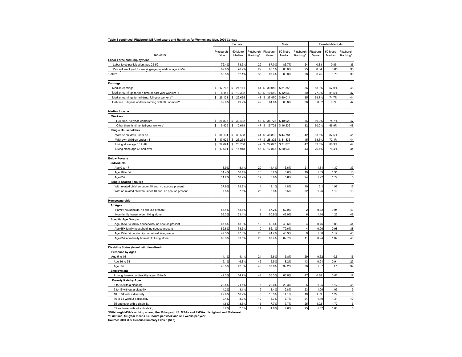|                                                                                                                           |                | Female                 |                |                     | Male           |                              | Female/Male Ratio |              |                |
|---------------------------------------------------------------------------------------------------------------------------|----------------|------------------------|----------------|---------------------|----------------|------------------------------|-------------------|--------------|----------------|
|                                                                                                                           | Pittsburgh     | 50 Metro               | Pittsburgh     | Pittsburgh          | 50 Metro       | Pittsburgh                   | Pittsburgh        | 50 Metro     | Pittsburgh     |
| Indicator                                                                                                                 | Value          | Median                 | Ranking*       | Value               | Median         | Ranking*                     | Value             | Median       | Ranking*       |
| <b>Labor Force and Employment</b>                                                                                         |                |                        |                |                     |                |                              |                   |              |                |
| Labor force participation, age 25-59                                                                                      | 72.4%          | 73.5%                  | 29             | 87.0%               | 86.7%          | 24                           | 0.83              | 0.85         | 36             |
| Percent employed for working-age population, age 25-59                                                                    | 69.6%          | 70.2%                  | 29             | 83.1%               | 83.0%          | 25                           | 0.84              | 0.85         | 36             |
| 1999**                                                                                                                    | 50.5%          | 52.1%                  | 35             | 67.4%               | 68.0%          | 28                           | 0.75              | 0.78         | 38             |
|                                                                                                                           |                |                        |                |                     |                |                              |                   |              |                |
| Earnings                                                                                                                  |                |                        |                |                     |                |                              |                   |              |                |
| Median earnings                                                                                                           | s.<br>17,705   | \$<br>21,171           | 44             | \$ 30,050 \$ 31,355 |                | 36                           | 58.9%             | 67.9%        | 48             |
| Median earnings for part-time or part-year workers++                                                                      | \$<br>8,145    | 10,332<br>\$           | 50             | \$10,540            | \$12,630       | 50                           | 77.3%             | 81.5%        | 37             |
| Median earnings for full-time, full-year workers**                                                                        | \$<br>26,121   | \$<br>29,665           | 43             | \$ 37,470           | \$40,014       | 35                           | 69.7%             | 74.7%        | 44<br>47       |
| Full-time, full-year workers earning \$30,000 or more**                                                                   | 39.9%          | 49.2%                  | 42             | 64.8%               | 68.8%          | 36                           | 0.62              | 0.74         |                |
| Median Income                                                                                                             |                |                        |                |                     |                |                              |                   |              |                |
| Workers                                                                                                                   |                |                        |                |                     |                |                              |                   |              |                |
| Full-time, full-year workers**                                                                                            | \$<br>26,835   | 30,482<br>\$           | 43             | \$38,728            | \$40,928       | 36                           | 69.3%             | 74.7%        | 47             |
| Other than full-time, full-year workers**                                                                                 | \$<br>9,429    | $\mathbb{S}$<br>10,618 | 47             | $$15,702$ $$16,236$ |                | 32                           | 60.0%             | 66.9%        | 48             |
| <b>Single Householders</b>                                                                                                |                |                        |                |                     |                |                              |                   |              |                |
| With no children under 18                                                                                                 | s.<br>34,131   | \$38,568               | 44             | \$40,832            | \$44,781       | 42                           | 83.6%             | 87.5%        | 41             |
| With own children under 18                                                                                                | S<br>17,925    | \$<br>23,254           | 47             | \$<br>28,302        | \$31,836       | 45                           | 63.3%             | 72.1%        | 44             |
| Living alone age 15 to 64                                                                                                 | \$<br>22,691   | 28,786<br>\$           | 49             | 27,077<br>\$        | \$31,875       | 47                           | 83.8%             | 88.3%        | 44             |
| Living alone age 65 and over                                                                                              | \$<br>13,601   | \$<br>15,918           | 45             | \$<br>17,863        | \$20,033       | 43                           | 76.1%             | 78.4%        | 34             |
|                                                                                                                           |                |                        |                |                     |                |                              |                   |              |                |
| <b>Below Poverty</b>                                                                                                      |                |                        |                |                     |                |                              |                   |              |                |
| Individuals                                                                                                               |                |                        |                |                     |                |                              |                   |              |                |
| Age 0 to 17                                                                                                               | 18.9%          | 18.1%                  | 20             | 14.4%               | 13.6%          | 21                           | 1.31              | 1.32         | 33             |
| Age 18 to 64                                                                                                              | 11.4%          | 10.4%                  | 16             | 8.2%                | 8.0%           | 19                           | 1.39              | 1.31         | 10             |
| Age 65+                                                                                                                   | 11.2%          | 10.2%                  | 17             | 5.8%                | 5.8%           | 24                           | 1.92              | 1.72         | $\overline{5}$ |
| <b>Single-headed Families</b>                                                                                             |                |                        |                |                     |                |                              |                   |              |                |
| With related children under 18 and no spouse present                                                                      | 37.9%          | 28.3%                  | $\overline{4}$ | 18.1%               | 14.8%          | 10                           | 2.1               | 1.97         | 15             |
| With no related children under 18 and no spouse present                                                                   | 7.5%           | 7.5%                   | 25             | 5.9%                | 6.5%           | 32                           | 1.26              | 1.19         | 13             |
|                                                                                                                           |                |                        |                |                     |                |                              |                   |              |                |
| Homeownership                                                                                                             |                |                        |                |                     |                |                              |                   |              |                |
| <b>All Ages</b>                                                                                                           |                |                        |                |                     |                |                              |                   |              |                |
| Family households, no spouse present                                                                                      | 55.4%          | 48.1%                  | $\overline{7}$ | 67.2%               | 52.0%          | $\overline{2}$               | 0.82              | 0.94         | 43             |
| Non-family householder, living alone                                                                                      | 56.3%          | 53.4%                  | 13             | 50.9%               | 43.9%          | 6                            | 1.10              | 1.23         | 47             |
| <b>Specific Age Groups</b>                                                                                                |                |                        |                |                     |                |                              |                   |              |                |
| Age 15 to 64 family households, no spouse present                                                                         | 47.5%          | 43.3%                  | 12             | 62.6%               | 48.6%          | 4<br>$\overline{\mathbf{4}}$ | 0.76              | 0.88         | 44             |
| Age 65+ family household, no spouse present                                                                               | 82.8%          | 78.5%                  | 10             | 86.1%               | 79.6%          | 9                            | 0.96              | 0.98         | 38             |
| Age 15 to 64 non-family household living alone<br>Age 65+ non-family household living alone                               | 47.5%<br>63.3% | 47.3%<br>63.5%         | 23<br>26       | 44.7%<br>67.4%      | 40.3%<br>62.7% | 11                           | 1.06<br>0.94      | 1.17<br>1.02 | 48<br>48       |
|                                                                                                                           |                |                        |                |                     |                |                              |                   |              |                |
| Disability Status (Non-Institutionalized)                                                                                 |                |                        |                |                     |                |                              |                   |              |                |
| <b>Presence by Ages</b>                                                                                                   |                |                        |                |                     |                |                              |                   |              |                |
| Age 5 to 15                                                                                                               | 4.1%           | 4.1%                   | 24             | 6.6%                | 6.8%           | 29                           | 0.62              | 0.6          | 16             |
| Age 16 to 64                                                                                                              | 15.1%          | 16.8%                  | 42             | 16.5%               | 18.2%          | 43                           | 0.91              | 0.91         | 23             |
| Age 65+                                                                                                                   | 40.5%          | 42.3%                  | 40             | 37.6%               | 39.2%          | 38                           | 1.07              | 1.1          | 32             |
| Employment                                                                                                                |                |                        |                |                     |                |                              |                   |              |                |
| Among those w/ a disability ages 16 to 64                                                                                 | 49.3%          | 54.7%                  | 44             | 56.3%               | 63.6%          | 47                           | 0.88              | 0.86         | 17             |
| <b>Poverty Rate by Ages</b>                                                                                               |                |                        |                |                     |                |                              |                   |              |                |
| 5 to 15 with a disability                                                                                                 | 29.4%          | 21.5%                  | 5              | 28.0%               | 20.3%          | 5                            | 1.05              | 1.12         | 41             |
| 5 to 15 without a disability                                                                                              | 14.2%          | 13.1%                  | 19             | 13.4%               | 12.8%          | 23                           | 1.06              | 1.03         | 9              |
| 16 to 64 with a disability                                                                                                | 22.9%          | 18.2%                  | 5              | 16.5%               | 14.1%          | 10                           | 1.39              | 1.29         | 8              |
| 16 to 64 without a disabilit                                                                                              | 9.4%           | 8.9%                   | 19             | 6.7%                | 6.7%           | 24                           | 1.40              | 1.31         | 10             |
| 65 and over with a disability                                                                                             | 14.8%          | 13.6%                  | 15             | 7.7%                | 7.7%           | 25                           | 1.92              | 1.72         | $\sqrt{5}$     |
| 65 and over without a disability                                                                                          | 8.7%           | 7.5%                   | 14             | 4.6%                | 4.6%           | 25                           | 1.87              | 1.63         | 6              |
| *Pittsburgh MSA's ranking among the 50 largest U.S. MSAs and PMSAs; 1=highest and 50=lowest                               |                |                        |                |                     |                |                              |                   |              |                |
| **Full-time, full-year means 35+ hours per week and 50+ weeks per year.<br>Source: 2000 U.S. Census Summary Files 3 (SF3) |                |                        |                |                     |                |                              |                   |              |                |
|                                                                                                                           |                |                        |                |                     |                |                              |                   |              |                |

**Table 1 continued. Pittsburgh MSA Indicators and Rankings for Women and Men, 2000 Census**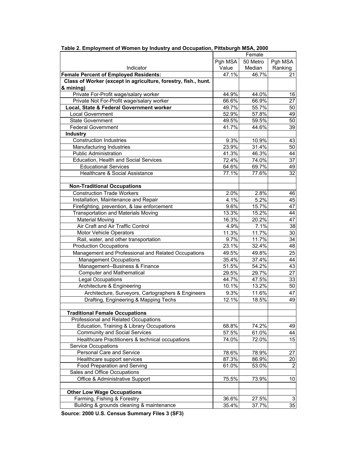|                                                                             | Female  |          |                 |  |  |  |  |
|-----------------------------------------------------------------------------|---------|----------|-----------------|--|--|--|--|
|                                                                             | Pgh MSA | 50 Metro | Pgh MSA         |  |  |  |  |
| Indicator                                                                   | Value   | Median   | Ranking         |  |  |  |  |
| <b>Female Percent of Employed Residents:</b>                                | 47.1%   | 46.7%    | 21              |  |  |  |  |
| Class of Worker (except in agriculture, forestry, fish., hunt.<br>& mining) |         |          |                 |  |  |  |  |
| Private For-Profit wage/salary worker                                       | 44.9%   | 44.0%    | 16              |  |  |  |  |
| Private Not For-Profit wage/salary worker                                   | 66.6%   | 66.9%    | 27              |  |  |  |  |
| Local, State & Federal Government worker                                    | 49.7%   | 55.7%    | 50              |  |  |  |  |
| Local Government                                                            | 52.9%   | 57.8%    | 49              |  |  |  |  |
| <b>State Government</b>                                                     | 49.5%   | 59.5%    | 50              |  |  |  |  |
| <b>Federal Government</b>                                                   | 41.7%   | 44.6%    | 39              |  |  |  |  |
| <b>Industry</b>                                                             |         |          |                 |  |  |  |  |
| <b>Construction Industries</b>                                              | 9.3%    | 10.9%    | 43              |  |  |  |  |
| Manufacturing Industries                                                    | 23.9%   | 31.4%    | 50              |  |  |  |  |
| <b>Public Administration</b>                                                | 41.3%   | 46.3%    | 44              |  |  |  |  |
| Education, Health and Social Services                                       |         |          |                 |  |  |  |  |
|                                                                             | 72.4%   | 74.0%    | 37              |  |  |  |  |
| <b>Educational Services</b>                                                 | 64.6%   | 69.7%    | 49              |  |  |  |  |
| Healthcare & Social Assistance                                              | 77.1%   | 77.6%    | 32              |  |  |  |  |
| <b>Non-Traditional Occupations</b>                                          |         |          |                 |  |  |  |  |
| <b>Construction Trade Workers</b>                                           | 2.0%    | 2.8%     | 46              |  |  |  |  |
| Installation, Maintenance and Repair                                        | 4.1%    | 5.2%     | 45              |  |  |  |  |
| Firefighting, prevention, & law enforcement                                 | 9.6%    | 15.7%    | 47              |  |  |  |  |
| <b>Transportation and Materials Moving</b>                                  | 13.3%   | 15.2%    | 44              |  |  |  |  |
| <b>Material Moving</b>                                                      | 16.3%   | 20.2%    | 47              |  |  |  |  |
| Air Craft and Air Traffic Control                                           | 4.9%    | 7.1%     | 38              |  |  |  |  |
| Motor Vehicle Operators                                                     | 11.3%   | 11.7%    | $30\,$          |  |  |  |  |
| Rail, water, and other transportation                                       | 9.7%    | 11.7%    | 34              |  |  |  |  |
| <b>Production Occupations</b>                                               | 23.1%   | 32.4%    | 48              |  |  |  |  |
| Management and Professional and Related Occupations                         | 49.5%   | 49.8%    | 25              |  |  |  |  |
| <b>Management Occupations</b>                                               | 35.4%   | 37.4%    | 44              |  |  |  |  |
| Management--Business & Finance                                              | 51.5%   | 54.2%    | 43              |  |  |  |  |
| <b>Computer and Mathematical</b>                                            | 29.5%   | 29.7%    | $\overline{27}$ |  |  |  |  |
| Legal Occupations                                                           | 44.7%   | 47.5%    | 33              |  |  |  |  |
| Architecture & Engineering                                                  | 10.1%   | 13.2%    | 50              |  |  |  |  |
| Architecture, Surveyors, Cartographers & Engineers                          | 9.3%    | 11.6%    | 47              |  |  |  |  |
| Drafting, Engineering & Mapping Techs                                       | 12.1%   | 18.5%    | 49              |  |  |  |  |
| <b>Traditional Female Occupations</b>                                       |         |          |                 |  |  |  |  |
| Professional and Related Occupations                                        |         |          |                 |  |  |  |  |
| Education, Training & Library Occupations                                   | 68.8%   | 74.2%    | 49              |  |  |  |  |
| <b>Community and Social Services</b>                                        | 57.5%   | 61.0%    | 44              |  |  |  |  |
| Healthcare Practitioners & technical occupations                            | 74.0%   | 72.0%    | 15              |  |  |  |  |
| <b>Service Occupations</b>                                                  |         |          |                 |  |  |  |  |
| Personal Care and Service                                                   | 78.6%   | 78.9%    | 27              |  |  |  |  |
| Healthcare support services                                                 | 87.3%   | 86.9%    | 20              |  |  |  |  |
| Food Preparation and Serving                                                | 61.0%   | 53.0%    | $\overline{2}$  |  |  |  |  |
| Sales and Office Occupations                                                |         |          |                 |  |  |  |  |
| Office & Administrative Support                                             | 75.5%   | 73.9%    | 10              |  |  |  |  |
| <b>Other Low Wage Occupations</b>                                           |         |          |                 |  |  |  |  |
| Farming, Fishing & Forestry                                                 | 36.6%   | 27.5%    | 3               |  |  |  |  |
| Building & grounds cleaning & maintenance                                   | 35.4%   | 37.7%    | 35              |  |  |  |  |
|                                                                             |         |          |                 |  |  |  |  |

**Table 2. Employment of Women by Industry and Occupation, Pittsburgh MSA, 2000**

**Source: 2000 U.S. Census Summary Files 3 (SF3)**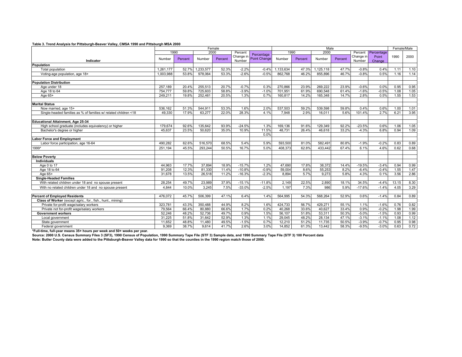#### **Table 3. Trend Analysis for Pittsburgh-Beaver Valley, CMSA 1990 and Pittsburgh MSA 2000**

|                                                                        | Female    |                                       |           |         |           |                         | Male     |         |           |         |            |         | Female/Male |      |
|------------------------------------------------------------------------|-----------|---------------------------------------|-----------|---------|-----------|-------------------------|----------|---------|-----------|---------|------------|---------|-------------|------|
|                                                                        |           | 2000<br>1990<br>Percent<br>Percentage |           |         |           | 2000<br>1990<br>Percent |          |         |           |         | Percentage |         |             |      |
|                                                                        | Number    | Percent                               | Number    | Percent | Change in | Point Change            | Number   | Percent | Number    | Percent | Change in  | Point   | 1990        | 2000 |
| Indicator                                                              |           |                                       |           |         | Number    |                         |          |         |           |         | Number     | Change  |             |      |
| Population                                                             |           |                                       |           |         |           |                         |          |         |           |         |            |         |             |      |
| Total population                                                       | 1.261.177 | 52.7%                                 | 1,233,577 | 52.3%   | $-2.2%$   | $-0.4%$                 | .133.634 | 47.3%   | 1,125,118 | 47.7%   | $-0.8%$    | 0.4%    | 1.11        | 1.10 |
| Voting-age population, age 18+                                         | 1,003,988 | 53.8%                                 | 978,064   | 53.3%   | $-2.6%$   | $-0.5%$                 | 862,768  | 46.2%   | 855,896   | 46.7%   | $-0.8%$    | 0.5%    | 1.16        | 1.14 |
| <b>Population Distribution</b>                                         |           |                                       |           |         |           |                         |          |         |           |         |            |         |             |      |
| Age under 18                                                           | 257,189   | 20.4%                                 | 255.513   | 20.7%   | $-0.7%$   | 0.3%                    | 270.866  | 23.9%   | 269.222   | 23.9%   | $-0.6%$    | 0.0%    | 0.95        | 0.95 |
| Age 18 to 64                                                           | 754,777   | 59.8%                                 | 725,603   | 58.8%   | $-3.9%$   | $-1.0%$                 | 701,951  | 61.9%   | 690,548   | 61.4%   | $-1.6%$    | $-0.5%$ | 1.08        | 1.05 |
| Age 65+                                                                | 249.211   | 19.8%                                 | 252.461   | 20.5%   | 1.3%      | 0.7%                    | 160.817  | 14.2%   | 165,348   | 14.7%   | 2.8%       | 0.5%    | 1.55        | 1.53 |
| <b>Marital Status</b>                                                  |           |                                       |           |         |           |                         |          |         |           |         |            |         |             |      |
| Now married, age 15+                                                   | 536,162   | 51.3%                                 | 544,911   | 53.3%   | 1.6%      | 2.0%                    | 537.503  | 59.2%   | 539,598   | 59.8%   | 0.4%       | 0.6%    | 1.00        | 1.01 |
| Single-headed families as % of families w/ related children <18        | 49.330    | 17.9%                                 | 63.277    | 22.0%   | 28.3%     | 4.1%                    | 7.948    | 2.9%    | 16.011    | 5.6%    | 101.4%     | 2.7%    | 6.21        | 3.95 |
| Educational Attainment, Age 25-34                                      |           |                                       |           |         |           |                         |          |         |           |         |            |         |             |      |
| High school graduate (includes equivalency) or higher                  | 179,674   | 92.6%                                 | 135.642   | 93.9%   | $-24.5%$  | 1.3%                    | 169.136  | 91.6%   | 129.349   | 92.2%   | $-23.5%$   | 0.6%    | 1.06        | 1.05 |
| Bachelor's degree or higher                                            | 45.637    | 23.5%                                 | 50.620    | 35.0%   | 10.9%     | 11.5%                   | 48.731   | 26.4%   | 46.618    | 33.2%   | $-4.3%$    | 6.8%    | 0.94        | 1.09 |
|                                                                        |           |                                       |           |         |           | 0.0%                    |          |         |           |         |            |         |             |      |
| <b>Labor Force and Employment</b>                                      |           |                                       |           |         |           |                         |          |         |           |         |            |         |             |      |
| Labor force participation, age 16-64                                   | 490.282   | 62.6%                                 | 516,570   | 68.5%   | 5.4%      | 5.9%                    | 593,500  | 81.0%   | 582.491   | 80.8%   | $-1.9%$    | $-0.2%$ | 0.83        | 0.89 |
| 1999*                                                                  | 251,194   | 45.5%                                 | 293,244   | 50.5%   | 16.7%     | 5.0%                    | 408,373  | 62.8%   | 433,442   | 67.4%   | 6.1%       | 4.6%    | 0.62        | 0.68 |
| <b>Below Poverty</b>                                                   |           |                                       |           |         |           |                         |          |         |           |         |            |         |             |      |
| <b>Individuals</b>                                                     |           |                                       |           |         |           |                         |          |         |           |         |            |         |             |      |
| Age 0 to 17                                                            | 44.963    | 17.7%                                 | 37.894    | 18.9%   | $-15.7%$  | 1.2%                    | 47.690   | 17.8%   | 38.372    | 14.4%   | $-19.5%$   | $-3.4%$ | 0.94        | 0.99 |
| Age 18 to 64                                                           | 91,208    | 12.3%                                 | 81,330    | 11.4%   | $-10.8%$  | $-0.9%$                 | 59,004   | 8.6%    | 55,253    | 8.2%    | $-6.4%$    | $-0.4%$ | 1.55        | 1.47 |
| Age 65+                                                                | 31,678    | 13.5%                                 | 26,518    | 11.2%   | $-16.3%$  | $-2.3%$                 | 8.894    | 5.7%    | 9,273     | 5.8%    | 4.3%       | 0.1%    | 3.56        | 2.86 |
| <b>Single-Headed Families</b>                                          |           |                                       |           |         |           |                         |          |         |           |         |            |         |             |      |
| With related children under 18 and no spouse present                   | 28.254    | 49.7%                                 | 23,989    | 37.9%   | $-15.1%$  | $-11.8%$                | 2.149    | 22.5%   | 2.890     | 18.1%   | 34.5%      | $-4.4%$ | 13.15       | 8.30 |
| With no related children under 18 and no spouse present                | 4.844     | 10.0%                                 | 3.245     | 7.5%    | $-33.0%$  | $-2.5%$                 | 1.197    | 7.3%    | 986       | 5.9%    | $-17.6%$   | $-1.4%$ | 4.05        | 3.29 |
| <b>Percent of Employed Residents</b>                                   | 476,072   | 45.7%                                 | 506,399   | 47.1%   | 6.4%      | 1.4%                    | 564,995  | 54.3%   | 568,264   | 52.9%   | 0.6%       | $-1.4%$ | 0.84        | 0.89 |
| Class of Worker (except agric., for., fish., hunt., mining)            |           |                                       |           |         |           |                         |          |         |           |         |            |         |             |      |
| Private for-profit wage/salary workers                                 | 323,781   | 43.3%                                 | 350,488   | 44.9%   | 8.2%      | 1.6%                    | 424,733  | 56.7%   | 429,271   | 55.1%   | 1.1%       | $-1.6%$ | 0.76        | 0.82 |
| Private not for-profit wage/salary workers                             | 79.564    | 66.4%                                 | 80.880    | 66.6%   | 1.7%      | 0.2%                    | 40.268   | 33.6%   | 40.627    | 33.4%   | 0.9%       | $-0.2%$ | 1.98        | 1.99 |
| <b>Government workers</b>                                              | 52.246    | 48.2%                                 | 52.736    | 49.7%   | 0.9%      | 1.5%                    | 56,107   | 51.8%   | 53,311    | 50.3%   | $-5.0%$    | $-1.5%$ | 0.93        | 0.99 |
| Local government                                                       | 31,225    | 51.8%                                 | 31,642    | 52.9%   | 1.3%      | 1.1%                    | 29,045   | 48.2%   | 28,134    | 47.1%   | $-3.1%$    | $-1.1%$ | 1.08        | 1.12 |
| State government                                                       | 11.652    | 48.8%                                 | 11.480    | 49.5%   | $-1.5%$   | 0.7%                    | 12,210   | 51.2%   | 11,735    | 50.5%   | $-3.9%$    | $-0.7%$ | 0.95        | 0.98 |
| Federal government                                                     | 9.369     | 38.7%                                 | 9.614     | 41.7%   | 2.6%      | 3.0%                    | 14.852   | 61.3%   | 13.442    | 58.3%   | $-9.5%$    | $-3.0%$ | 0.63        | 0.72 |
| *Full-time, full-year means 35+ hours per week and 50+ weeks per year. |           |                                       |           |         |           |                         |          |         |           |         |            |         |             |      |

Source: 2000 U.S. Census Summary Files 3 (SF3), 1990 Census of Population, 1990 Summary Tape File (STF 3) Sample data, and 1990 Summary Tape File (STF 3) 100 Percent data<br>Note: Butler County data were added to the Pittsbur